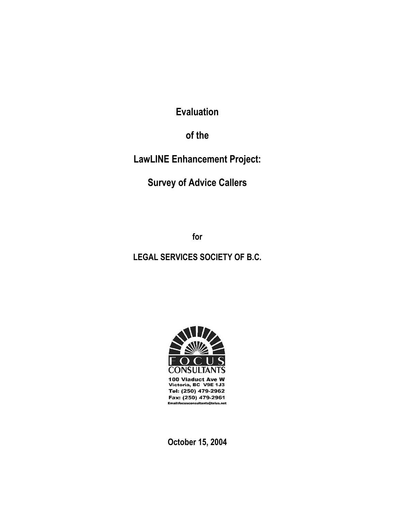**Evaluation**

**of the**

**LawLINE Enhancement Project:**

**Survey of Advice Callers**

**for**

**LEGAL SERVICES SOCIETY OF B.C.**



Victoria, BC V9E 1J3 Tel: (250) 479-2962 Fax: (250) 479-2961 Email:focusconsultants@telus.net

**October 15, 2004**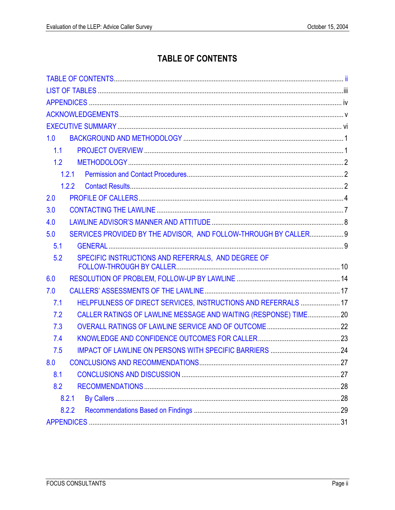## **TABLE OF CONTENTS**

| 1.0 |                                                                  |  |
|-----|------------------------------------------------------------------|--|
| 1.1 |                                                                  |  |
| 1.2 |                                                                  |  |
|     | 1.2.1                                                            |  |
|     | 1.2.2                                                            |  |
| 2.0 |                                                                  |  |
| 3.0 |                                                                  |  |
| 4.0 |                                                                  |  |
| 5.0 | SERVICES PROVIDED BY THE ADVISOR, AND FOLLOW-THROUGH BY CALLER 9 |  |
| 5.1 |                                                                  |  |
| 5.2 | SPECIFIC INSTRUCTIONS AND REFERRALS, AND DEGREE OF               |  |
| 6.0 |                                                                  |  |
| 7.0 |                                                                  |  |
| 7.1 | HELPFULNESS OF DIRECT SERVICES, INSTRUCTIONS AND REFERRALS  17   |  |
| 7.2 | CALLER RATINGS OF LAWLINE MESSAGE AND WAITING (RESPONSE) TIME 20 |  |
| 7.3 |                                                                  |  |
| 7.4 |                                                                  |  |
| 7.5 |                                                                  |  |
| 8.0 |                                                                  |  |
| 8.1 |                                                                  |  |
| 8.2 |                                                                  |  |
|     | 8.2.1                                                            |  |
|     | 8.2.2                                                            |  |
|     |                                                                  |  |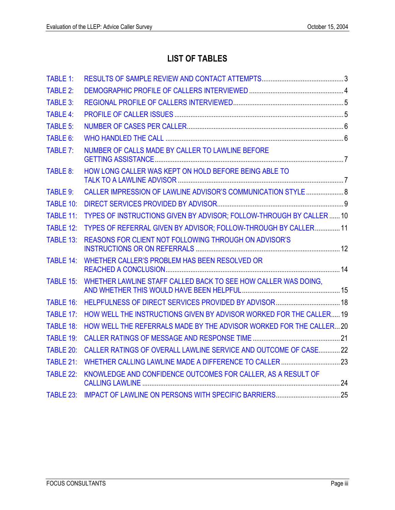## <span id="page-2-0"></span>**LIST OF TABLES**

| <b>TABLE 1:</b>  |                                                                      |  |
|------------------|----------------------------------------------------------------------|--|
| <b>TABLE 2:</b>  |                                                                      |  |
| <b>TABLE 3:</b>  |                                                                      |  |
| <b>TABLE 4:</b>  |                                                                      |  |
| <b>TABLE 5:</b>  |                                                                      |  |
| TABLE 6:         |                                                                      |  |
| <b>TABLE 7:</b>  | NUMBER OF CALLS MADE BY CALLER TO LAWLINE BEFORE                     |  |
| <b>TABLE 8:</b>  | HOW LONG CALLER WAS KEPT ON HOLD BEFORE BEING ABLE TO                |  |
| TABLE 9:         | CALLER IMPRESSION OF LAWLINE ADVISOR'S COMMUNICATION STYLE  8        |  |
| <b>TABLE 10:</b> |                                                                      |  |
| TABLE 11:        | TYPES OF INSTRUCTIONS GIVEN BY ADVISOR; FOLLOW-THROUGH BY CALLER  10 |  |
| TABLE 12:        | TYPES OF REFERRAL GIVEN BY ADVISOR; FOLLOW-THROUGH BY CALLER 11      |  |
| TABLE 13:        | REASONS FOR CLIENT NOT FOLLOWING THROUGH ON ADVISOR'S                |  |
| TABLE 14:        |                                                                      |  |
| <b>TABLE 15:</b> | WHETHER LAWLINE STAFF CALLED BACK TO SEE HOW CALLER WAS DOING,       |  |
| TABLE 16:        | HELPFULNESS OF DIRECT SERVICES PROVIDED BY ADVISOR 18                |  |
| TABLE 17:        | HOW WELL THE INSTRUCTIONS GIVEN BY ADVISOR WORKED FOR THE CALLER 19  |  |
| <b>TABLE 18:</b> | HOW WELL THE REFERRALS MADE BY THE ADVISOR WORKED FOR THE CALLER 20  |  |
| <b>TABLE 19:</b> |                                                                      |  |
| <b>TABLE 20:</b> | CALLER RATINGS OF OVERALL LAWLINE SERVICE AND OUTCOME OF CASE 22     |  |
| TABLE 21:        |                                                                      |  |
| TABLE 22:        | KNOWLEDGE AND CONFIDENCE OUTCOMES FOR CALLER, AS A RESULT OF         |  |
| <b>TABLE 23:</b> |                                                                      |  |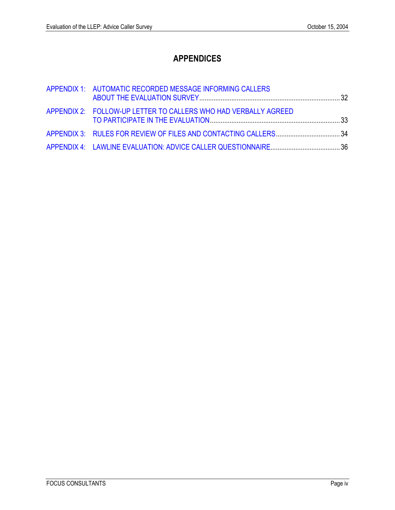## <span id="page-3-0"></span>**APPENDICES**

| APPENDIX 1: AUTOMATIC RECORDED MESSAGE INFORMING CALLERS        |  |
|-----------------------------------------------------------------|--|
| APPENDIX 2: FOLLOW-UP LETTER TO CALLERS WHO HAD VERBALLY AGREED |  |
|                                                                 |  |
|                                                                 |  |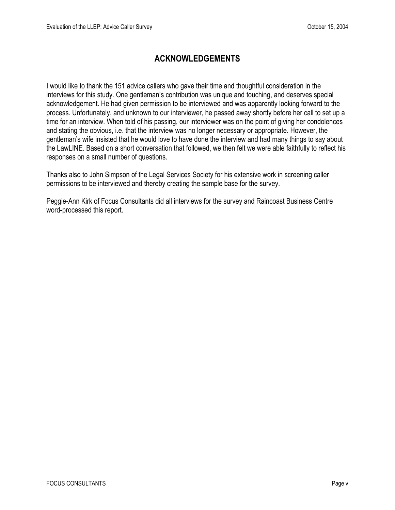## <span id="page-4-0"></span>**ACKNOWLEDGEMENTS**

I would like to thank the 151 advice callers who gave their time and thoughtful consideration in the interviews for this study. One gentleman's contribution was unique and touching, and deserves special acknowledgement. He had given permission to be interviewed and was apparently looking forward to the process. Unfortunately, and unknown to our interviewer, he passed away shortly before her call to set up a time for an interview. When told of his passing, our interviewer was on the point of giving her condolences and stating the obvious, i.e. that the interview was no longer necessary or appropriate. However, the gentlemanís wife insisted that he would love to have done the interview and had many things to say about the LawLINE. Based on a short conversation that followed, we then felt we were able faithfully to reflect his responses on a small number of questions.

Thanks also to John Simpson of the Legal Services Society for his extensive work in screening caller permissions to be interviewed and thereby creating the sample base for the survey.

Peggie-Ann Kirk of Focus Consultants did all interviews for the survey and Raincoast Business Centre word-processed this report.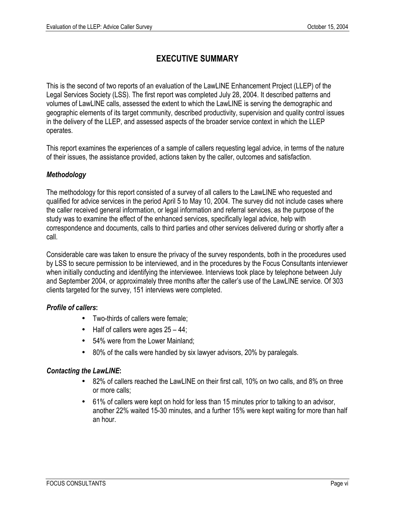## <span id="page-5-0"></span>**EXECUTIVE SUMMARY**

This is the second of two reports of an evaluation of the LawLINE Enhancement Project (LLEP) of the Legal Services Society (LSS). The first report was completed July 28, 2004. It described patterns and volumes of LawLINE calls, assessed the extent to which the LawLINE is serving the demographic and geographic elements of its target community, described productivity, supervision and quality control issues in the delivery of the LLEP, and assessed aspects of the broader service context in which the LLEP operates.

This report examines the experiences of a sample of callers requesting legal advice, in terms of the nature of their issues, the assistance provided, actions taken by the caller, outcomes and satisfaction.

## *Methodology*

The methodology for this report consisted of a survey of all callers to the LawLINE who requested and qualified for advice services in the period April 5 to May 10, 2004. The survey did not include cases where the caller received general information, or legal information and referral services, as the purpose of the study was to examine the effect of the enhanced services, specifically legal advice, help with correspondence and documents, calls to third parties and other services delivered during or shortly after a call.

Considerable care was taken to ensure the privacy of the survey respondents, both in the procedures used by LSS to secure permission to be interviewed, and in the procedures by the Focus Consultants interviewer when initially conducting and identifying the interviewee. Interviews took place by telephone between July and September 2004, or approximately three months after the caller's use of the LawLINE service. Of 303 clients targeted for the survey, 151 interviews were completed.

## *Profile of callers***:**

- Two-thirds of callers were female;
- Half of callers were ages  $25 44$ ;
- 54% were from the Lower Mainland;
- 80% of the calls were handled by six lawyer advisors, 20% by paralegals.

## *Contacting the LawLINE***:**

- 82% of callers reached the LawLINE on their first call, 10% on two calls, and 8% on three or more calls;
- 61% of callers were kept on hold for less than 15 minutes prior to talking to an advisor, another 22% waited 15-30 minutes, and a further 15% were kept waiting for more than half an hour.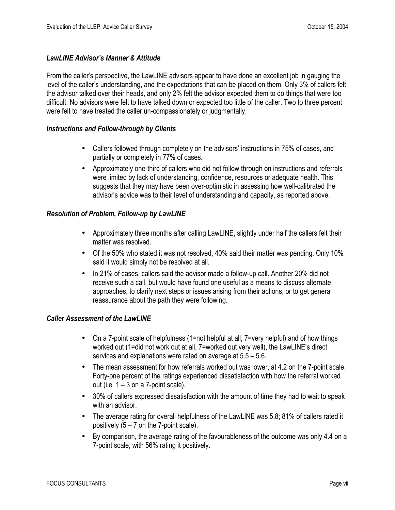#### *LawLINE Advisorís Manner & Attitude*

From the callerís perspective, the LawLINE advisors appear to have done an excellent job in gauging the level of the caller's understanding, and the expectations that can be placed on them. Only 3% of callers felt the advisor talked over their heads, and only 2% felt the advisor expected them to do things that were too difficult. No advisors were felt to have talked down or expected too little of the caller. Two to three percent were felt to have treated the caller un-compassionately or judgmentally.

#### *Instructions and Follow-through by Clients*

- Callers followed through completely on the advisors' instructions in 75% of cases, and partially or completely in 77% of cases.
- Approximately one-third of callers who did not follow through on instructions and referrals were limited by lack of understanding, confidence, resources or adequate health. This suggests that they may have been over-optimistic in assessing how well-calibrated the advisor's advice was to their level of understanding and capacity, as reported above.

#### *Resolution of Problem, Follow-up by LawLINE*

- Approximately three months after calling LawLINE, slightly under half the callers felt their matter was resolved.
- Of the 50% who stated it was not resolved, 40% said their matter was pending. Only 10% said it would simply not be resolved at all.
- In 21% of cases, callers said the advisor made a follow-up call. Another 20% did not receive such a call, but would have found one useful as a means to discuss alternate approaches, to clarify next steps or issues arising from their actions, or to get general reassurance about the path they were following.

#### *Caller Assessment of the LawLINE*

- On a 7-point scale of helpfulness (1=not helpful at all, 7=very helpful) and of how things worked out (1=did not work out at all, 7=worked out very well), the LawLINE's direct services and explanations were rated on average at  $5.5 - 5.6$ .
- The mean assessment for how referrals worked out was lower, at 4.2 on the 7-point scale. Forty-one percent of the ratings experienced dissatisfaction with how the referral worked out (i.e.  $1 - 3$  on a 7-point scale).
- 30% of callers expressed dissatisfaction with the amount of time they had to wait to speak with an advisor
- The average rating for overall helpfulness of the LawLINE was 5.8; 81% of callers rated it positively  $(5 – 7)$  on the 7-point scale).
- By comparison, the average rating of the favourableness of the outcome was only 4.4 on a 7-point scale, with 56% rating it positively.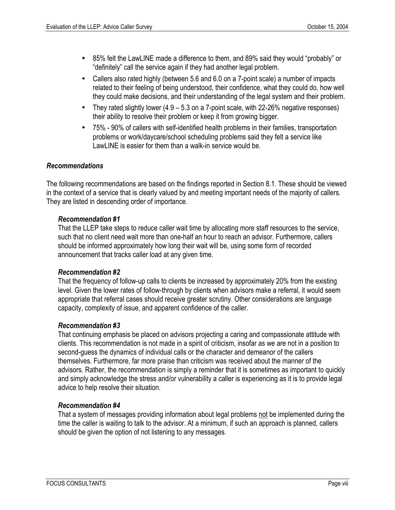- 85% felt the LawLINE made a difference to them, and 89% said they would "probably" or "definitely" call the service again if they had another legal problem.
- Callers also rated highly (between 5.6 and 6.0 on a 7-point scale) a number of impacts related to their feeling of being understood, their confidence, what they could do, how well they could make decisions, and their understanding of the legal system and their problem.
- They rated slightly lower  $(4.9 5.3 \text{ on a 7-point scale, with } 22{\text{-}26\%}$  negative responses) their ability to resolve their problem or keep it from growing bigger.
- 75% 90% of callers with self-identified health problems in their families, transportation problems or work/daycare/school scheduling problems said they felt a service like LawLINE is easier for them than a walk-in service would be.

## *Recommendations*

The following recommendations are based on the findings reported in Section 8.1. These should be viewed in the context of a service that is clearly valued by and meeting important needs of the majority of callers. They are listed in descending order of importance.

## *Recommendation #1*

That the LLEP take steps to reduce caller wait time by allocating more staff resources to the service, such that no client need wait more than one-half an hour to reach an advisor. Furthermore, callers should be informed approximately how long their wait will be, using some form of recorded announcement that tracks caller load at any given time.

## *Recommendation #2*

That the frequency of follow-up calls to clients be increased by approximately 20% from the existing level. Given the lower rates of follow-through by clients when advisors make a referral, it would seem appropriate that referral cases should receive greater scrutiny. Other considerations are language capacity, complexity of issue, and apparent confidence of the caller.

## *Recommendation #3*

That continuing emphasis be placed on advisors projecting a caring and compassionate attitude with clients. This recommendation is not made in a spirit of criticism, insofar as we are not in a position to second-guess the dynamics of individual calls or the character and demeanor of the callers themselves. Furthermore, far more praise than criticism was received about the manner of the advisors. Rather, the recommendation is simply a reminder that it is sometimes as important to quickly and simply acknowledge the stress and/or vulnerability a caller is experiencing as it is to provide legal advice to help resolve their situation.

## *Recommendation #4*

That a system of messages providing information about legal problems not be implemented during the time the caller is waiting to talk to the advisor. At a minimum, if such an approach is planned, callers should be given the option of not listening to any messages.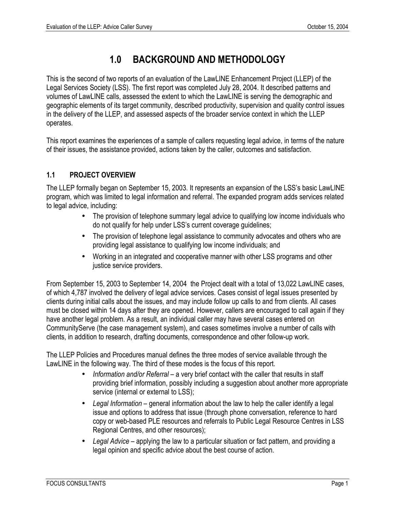# <span id="page-8-0"></span>**1.0 BACKGROUND AND METHODOLOGY**

This is the second of two reports of an evaluation of the LawLINE Enhancement Project (LLEP) of the Legal Services Society (LSS). The first report was completed July 28, 2004. It described patterns and volumes of LawLINE calls, assessed the extent to which the LawLINE is serving the demographic and geographic elements of its target community, described productivity, supervision and quality control issues in the delivery of the LLEP, and assessed aspects of the broader service context in which the LLEP operates.

This report examines the experiences of a sample of callers requesting legal advice, in terms of the nature of their issues, the assistance provided, actions taken by the caller, outcomes and satisfaction.

## <span id="page-8-1"></span>**1.1 PROJECT OVERVIEW**

The LLEP formally began on September 15, 2003. It represents an expansion of the LSS's basic LawLINE program, which was limited to legal information and referral. The expanded program adds services related to legal advice, including:

- The provision of telephone summary legal advice to qualifying low income individuals who do not qualify for help under LSS's current coverage quidelines;
- The provision of telephone legal assistance to community advocates and others who are providing legal assistance to qualifying low income individuals; and
- Working in an integrated and cooperative manner with other LSS programs and other justice service providers.

From September 15, 2003 to September 14, 2004 the Project dealt with a total of 13,022 LawLINE cases, of which 4,787 involved the delivery of legal advice services. Cases consist of legal issues presented by clients during initial calls about the issues, and may include follow up calls to and from clients. All cases must be closed within 14 days after they are opened. However, callers are encouraged to call again if they have another legal problem. As a result, an individual caller may have several cases entered on CommunityServe (the case management system), and cases sometimes involve a number of calls with clients, in addition to research, drafting documents, correspondence and other follow-up work.

The LLEP Policies and Procedures manual defines the three modes of service available through the LawLINE in the following way. The third of these modes is the focus of this report.

- *Information and/or Referral* a very brief contact with the caller that results in staff providing brief information, possibly including a suggestion about another more appropriate service (internal or external to LSS);
- Legal Information general information about the law to help the caller identify a legal issue and options to address that issue (through phone conversation, reference to hard copy or web-based PLE resources and referrals to Public Legal Resource Centres in LSS Regional Centres, and other resources);
- Legal Advice applying the law to a particular situation or fact pattern, and providing a legal opinion and specific advice about the best course of action.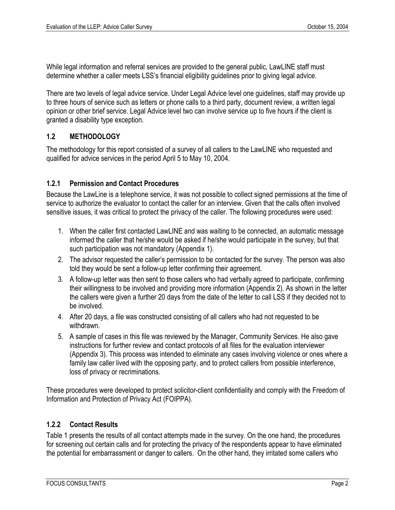While legal information and referral services are provided to the general public, LawLINE staff must determine whether a caller meets LSS's financial eligibility guidelines prior to giving legal advice.

There are two levels of legal advice service. Under Legal Advice level one guidelines, staff may provide up to three hours of service such as letters or phone calls to a third party, document review, a written legal opinion or other brief service. Legal Advice level two can involve service up to five hours if the client is granted a disability type exception.

## <span id="page-9-0"></span>**1.2 METHODOLOGY**

The methodology for this report consisted of a survey of all callers to the LawLINE who requested and qualified for advice services in the period April 5 to May 10, 2004.

## <span id="page-9-1"></span>**1.2.1 Permission and Contact Procedures**

Because the LawLine is a telephone service, it was not possible to collect signed permissions at the time of service to authorize the evaluator to contact the caller for an interview. Given that the calls often involved sensitive issues, it was critical to protect the privacy of the caller. The following procedures were used:

- 1. When the caller first contacted LawLINE and was waiting to be connected, an automatic message informed the caller that he/she would be asked if he/she would participate in the survey, but that such participation was not mandatory (Appendix 1).
- 2. The advisor requested the caller's permission to be contacted for the survey. The person was also told they would be sent a follow-up letter confirming their agreement.
- 3. A follow-up letter was then sent to those callers who had verbally agreed to participate, confirming their willingness to be involved and providing more information (Appendix 2). As shown in the letter the callers were given a further 20 days from the date of the letter to call LSS if they decided not to be involved.
- 4. After 20 days, a file was constructed consisting of all callers who had not requested to be withdrawn.
- 5. A sample of cases in this file was reviewed by the Manager, Community Services. He also gave instructions for further review and contact protocols of all files for the evaluation interviewer (Appendix 3). This process was intended to eliminate any cases involving violence or ones where a family law caller lived with the opposing party, and to protect callers from possible interference, loss of privacy or recriminations.

These procedures were developed to protect solicitor-client confidentiality and comply with the Freedom of Information and Protection of Privacy Act (FOIPPA).

## <span id="page-9-2"></span>**1.2.2 Contact Results**

Table 1 presents the results of all contact attempts made in the survey. On the one hand, the procedures for screening out certain calls and for protecting the privacy of the respondents appear to have eliminated the potential for embarrassment or danger to callers. On the other hand, they irritated some callers who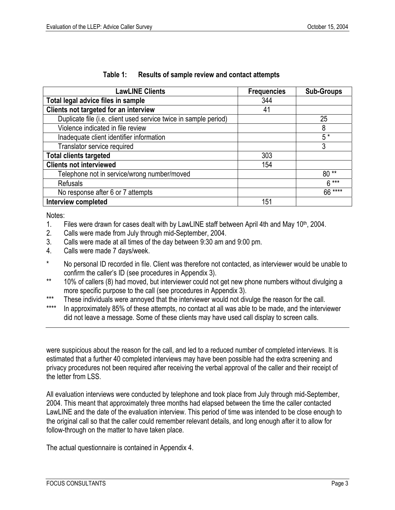| <b>LawLINE Clients</b>                                           | <b>Frequencies</b> | <b>Sub-Groups</b> |
|------------------------------------------------------------------|--------------------|-------------------|
| Total legal advice files in sample                               | 344                |                   |
| Clients not targeted for an interview                            | 41                 |                   |
| Duplicate file (i.e. client used service twice in sample period) |                    | 25                |
| Violence indicated in file review                                |                    | 8                 |
| Inadequate client identifier information                         |                    | $5*$              |
| Translator service required                                      |                    | 3                 |
| <b>Total clients targeted</b>                                    | 303                |                   |
| <b>Clients not interviewed</b>                                   | 154                |                   |
| Telephone not in service/wrong number/moved                      |                    | 80**              |
| <b>Refusals</b>                                                  |                    | $6***$            |
| No response after 6 or 7 attempts                                |                    | 66 ****           |
| <b>Interview completed</b>                                       | 151                |                   |

#### <span id="page-10-0"></span>**Table 1: Results of sample review and contact attempts**

Notes:

- 1. Files were drawn for cases dealt with by LawLINE staff between April 4th and May 10<sup>th</sup>, 2004.
- 2. Calls were made from July through mid-September, 2004.
- 3. Calls were made at all times of the day between 9:30 am and 9:00 pm.
- 4. Calls were made 7 days/week.
- \* No personal ID recorded in file. Client was therefore not contacted, as interviewer would be unable to confirm the caller's ID (see procedures in Appendix 3).
- \*\* 10% of callers (8) had moved, but interviewer could not get new phone numbers without divulging a more specific purpose to the call (see procedures in Appendix 3).
- \*\*\* These individuals were annoyed that the interviewer would not divulge the reason for the call.
- In approximately 85% of these attempts, no contact at all was able to be made, and the interviewer did not leave a message. Some of these clients may have used call display to screen calls.

were suspicious about the reason for the call, and led to a reduced number of completed interviews. It is estimated that a further 40 completed interviews may have been possible had the extra screening and privacy procedures not been required after receiving the verbal approval of the caller and their receipt of the letter from LSS.

All evaluation interviews were conducted by telephone and took place from July through mid-September, 2004. This meant that approximately three months had elapsed between the time the caller contacted LawLINE and the date of the evaluation interview. This period of time was intended to be close enough to the original call so that the caller could remember relevant details, and long enough after it to allow for follow-through on the matter to have taken place.

The actual questionnaire is contained in Appendix 4.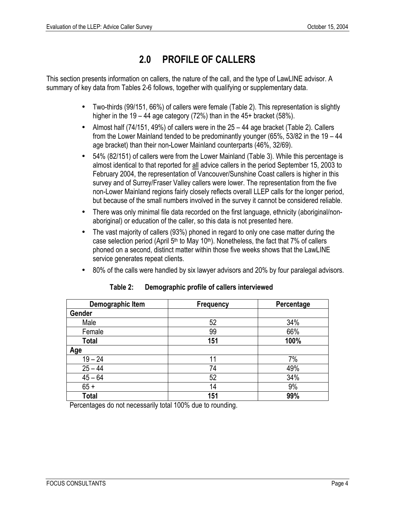# <span id="page-11-0"></span>**2.0 PROFILE OF CALLERS**

This section presents information on callers, the nature of the call, and the type of LawLINE advisor. A summary of key data from Tables 2-6 follows, together with qualifying or supplementary data.

- Two-thirds (99/151, 66%) of callers were female (Table 2). This representation is slightly higher in the 19 – 44 age category (72%) than in the 45+ bracket (58%).
- Almost half (74/151, 49%) of callers were in the  $25 44$  age bracket (Table 2). Callers from the Lower Mainland tended to be predominantly younger (65%, 53/82 in the  $19 - 44$ age bracket) than their non-Lower Mainland counterparts (46%, 32/69).
- 54% (82/151) of callers were from the Lower Mainland (Table 3). While this percentage is almost identical to that reported for all advice callers in the period September 15, 2003 to February 2004, the representation of Vancouver/Sunshine Coast callers is higher in this survey and of Surrey/Fraser Valley callers were lower. The representation from the five non-Lower Mainland regions fairly closely reflects overall LLEP calls for the longer period, but because of the small numbers involved in the survey it cannot be considered reliable.
- There was only minimal file data recorded on the first language, ethnicity (aboriginal/nonaboriginal) or education of the caller, so this data is not presented here.
- The vast majority of callers (93%) phoned in regard to only one case matter during the case selection period (April  $5<sup>th</sup>$  to May 10<sup>th</sup>). Nonetheless, the fact that 7% of callers phoned on a second, distinct matter within those five weeks shows that the LawLINE service generates repeat clients.
- 80% of the calls were handled by six lawyer advisors and 20% by four paralegal advisors.

| Demographic Item | <b>Frequency</b> | Percentage |
|------------------|------------------|------------|
| Gender           |                  |            |
| Male             | 52               | 34%        |
| Female           | 99               | 66%        |
| Total            | 151              | 100%       |
| Age              |                  |            |
| $19 - 24$        | 11               | 7%         |
| $25 - 44$        | 74               | 49%        |
| $45 - 64$        | 52               | 34%        |
| $65 +$           | 14               | 9%         |
| Total            | 151              | 99%        |

<span id="page-11-1"></span>**Table 2: Demographic profile of callers interviewed**

Percentages do not necessarily total 100% due to rounding.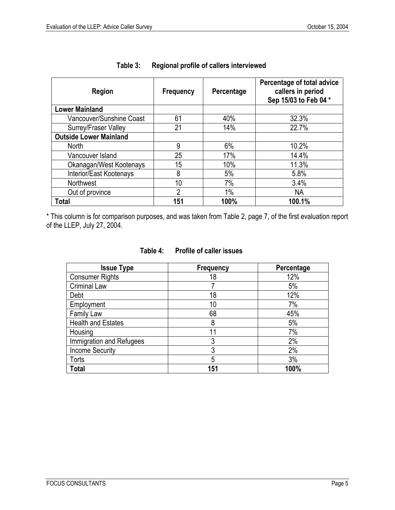| Region                        | <b>Frequency</b> | Percentage | Percentage of total advice<br>callers in period<br>Sep 15/03 to Feb 04* |
|-------------------------------|------------------|------------|-------------------------------------------------------------------------|
| <b>Lower Mainland</b>         |                  |            |                                                                         |
| Vancouver/Sunshine Coast      | 61               | 40%        | 32.3%                                                                   |
| Surrey/Fraser Valley          | 21               | 14%        | 22.7%                                                                   |
| <b>Outside Lower Mainland</b> |                  |            |                                                                         |
| <b>North</b>                  | 9                | 6%         | 10.2%                                                                   |
| Vancouver Island              | 25               | 17%        | 14.4%                                                                   |
| Okanagan/West Kootenays       | 15               | 10%        | 11.3%                                                                   |
| Interior/East Kootenays       | 8                | 5%         | 5.8%                                                                    |
| Northwest                     | 10               | 7%         | 3.4%                                                                    |
| Out of province               | $\overline{2}$   | 1%         | <b>NA</b>                                                               |
| <b>Total</b>                  | 151              | 100%       | 100.1%                                                                  |

## <span id="page-12-0"></span>**Table 3: Regional profile of callers interviewed**

\* This column is for comparison purposes, and was taken from Table 2, page 7, of the first evaluation report of the LLEP, July 27, 2004.

| <b>Issue Type</b>         | <b>Frequency</b> | Percentage |
|---------------------------|------------------|------------|
| <b>Consumer Rights</b>    | 18               | 12%        |
| <b>Criminal Law</b>       |                  | 5%         |
| Debt                      | 18               | 12%        |
| Employment                | 10               | 7%         |
| <b>Family Law</b>         | 68               | 45%        |
| <b>Health and Estates</b> | 8                | 5%         |
| Housing                   | 11               | 7%         |
| Immigration and Refugees  | 3                | 2%         |
| <b>Income Security</b>    | 3                | 2%         |
| Torts                     | 5                | 3%         |
| <b>Total</b>              | 151              | 100%       |

#### <span id="page-12-1"></span>**Table 4: Profile of caller issues**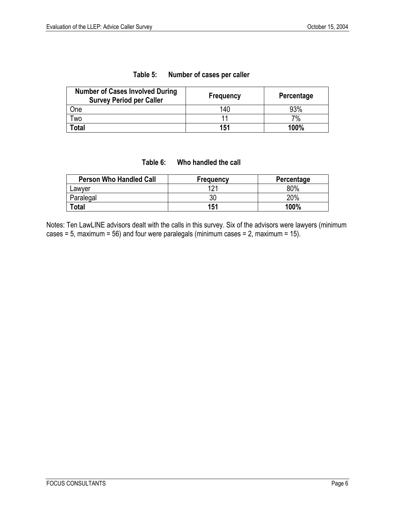| <b>Number of Cases Involved During</b><br><b>Survey Period per Caller</b> | <b>Frequency</b> | Percentage |
|---------------------------------------------------------------------------|------------------|------------|
| One                                                                       | 140              | 93%        |
| Two                                                                       |                  | 7%         |

#### <span id="page-13-0"></span>**Table 5: Number of cases per caller**

#### <span id="page-13-1"></span>**Table 6: Who handled the call**

**Total 151 100%**

| <b>Person Who Handled Call</b> | <b>Frequency</b> | Percentage |
|--------------------------------|------------------|------------|
| Lawver                         |                  | 80%        |
| Paralegal                      | IJΟ              | 20%        |
| Total                          | 151              | 100%       |

Notes: Ten LawLINE advisors dealt with the calls in this survey. Six of the advisors were lawyers (minimum cases = 5, maximum = 56) and four were paralegals (minimum cases = 2, maximum = 15).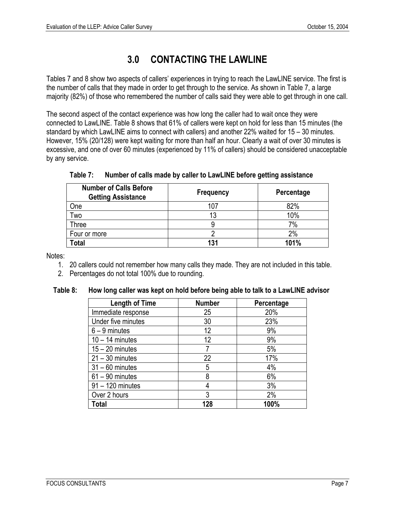# <span id="page-14-0"></span>**3.0 CONTACTING THE LAWLINE**

Tables 7 and 8 show two aspects of callers' experiences in trying to reach the LawLINE service. The first is the number of calls that they made in order to get through to the service. As shown in Table 7, a large majority (82%) of those who remembered the number of calls said they were able to get through in one call.

The second aspect of the contact experience was how long the caller had to wait once they were connected to LawLINE. Table 8 shows that 61% of callers were kept on hold for less than 15 minutes (the standard by which LawLINE aims to connect with callers) and another 22% waited for  $15 - 30$  minutes. However, 15% (20/128) were kept waiting for more than half an hour. Clearly a wait of over 30 minutes is excessive, and one of over 60 minutes (experienced by 11% of callers) should be considered unacceptable by any service.

| <b>Number of Calls Before</b><br><b>Getting Assistance</b> | Frequency | Percentage |
|------------------------------------------------------------|-----------|------------|
| <b>One</b>                                                 | 107       | 82%        |
| Two                                                        | 13        | 10%        |
| Three                                                      |           | 7%         |
| Four or more                                               |           | 2%         |
| <b>Total</b>                                               | 131       | 101%       |

<span id="page-14-1"></span>**Table 7: Number of calls made by caller to LawLINE before getting assistance**

Notes:

- 1. 20 callers could not remember how many calls they made. They are not included in this table.
- 2. Percentages do not total 100% due to rounding.

|  |  |  | Table 8:   How long caller was kept on hold before being able to talk to a LawLINE advisor |
|--|--|--|--------------------------------------------------------------------------------------------|
|--|--|--|--------------------------------------------------------------------------------------------|

<span id="page-14-2"></span>

| <b>Length of Time</b> | <b>Number</b> | Percentage |
|-----------------------|---------------|------------|
| Immediate response    | 25            | 20%        |
| Under five minutes    | 30            | 23%        |
| $6 - 9$ minutes       | 12            | 9%         |
| $10 - 14$ minutes     | 12            | 9%         |
| $15 - 20$ minutes     |               | 5%         |
| $21 - 30$ minutes     | 22            | 17%        |
| $31 - 60$ minutes     | 5             | 4%         |
| $61 - 90$ minutes     | 8             | 6%         |
| $91 - 120$ minutes    | 4             | 3%         |
| Over 2 hours          | 3             | 2%         |
| Total                 | 128           | 100%       |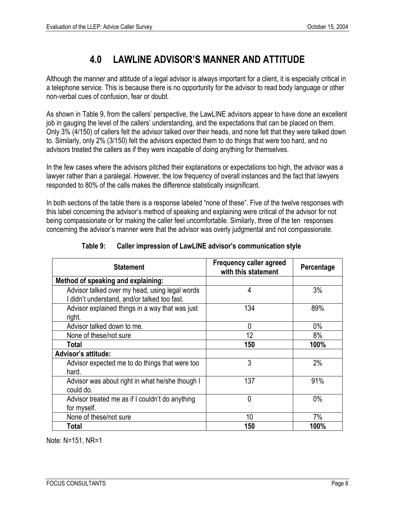# <span id="page-15-0"></span>**4.0 LAWLINE ADVISORíS MANNER AND ATTITUDE**

Although the manner and attitude of a legal advisor is always important for a client, it is especially critical in a telephone service. This is because there is no opportunity for the advisor to read body language or other non-verbal cues of confusion, fear or doubt.

As shown in Table 9, from the callers' perspective, the LawLINE advisors appear to have done an excellent job in gauging the level of the callers' understanding, and the expectations that can be placed on them. Only 3% (4/150) of callers felt the advisor talked over their heads, and none felt that they were talked down to. Similarly, only 2% (3/150) felt the advisors expected them to do things that were too hard, and no advisors treated the callers as if they were incapable of doing anything for themselves.

In the few cases where the advisors pitched their explanations or expectations too high, the advisor was a lawyer rather than a paralegal. However, the low frequency of overall instances and the fact that lawyers responded to 80% of the calls makes the difference statistically insignificant.

In both sections of the table there is a response labeled "none of these". Five of the twelve responses with this label concerning the advisorís method of speaking and explaining were critical of the advisor for not being compassionate or for making the caller feel uncomfortable. Similarly, three of the ten responses concerning the advisor's manner were that the advisor was overly judgmental and not compassionate.

| <b>Statement</b>                                                                               | <b>Frequency caller agreed</b><br>with this statement | Percentage |
|------------------------------------------------------------------------------------------------|-------------------------------------------------------|------------|
| Method of speaking and explaining:                                                             |                                                       |            |
| Advisor talked over my head, using legal words<br>I didn't understand, and/or talked too fast. | 4                                                     | 3%         |
| Advisor explained things in a way that was just<br>right.                                      | 134                                                   | 89%        |
| Advisor talked down to me.                                                                     | 0                                                     | $0\%$      |
| None of these/not sure                                                                         | 12                                                    | 8%         |
| Total                                                                                          | 150                                                   | 100%       |
| <b>Advisor's attitude:</b>                                                                     |                                                       |            |
| Advisor expected me to do things that were too<br>hard.                                        | 3                                                     | 2%         |
| Advisor was about right in what he/she though I<br>could do.                                   | 137                                                   | 91%        |
| Advisor treated me as if I couldn't do anything<br>for myself.                                 | 0                                                     | $0\%$      |
| None of these/not sure                                                                         | 10                                                    | 7%         |
| Total                                                                                          | 150                                                   | 100%       |

## <span id="page-15-1"></span>**Table 9: Caller impression of LawLINE advisorís communication style**

Note: N=151, NR=1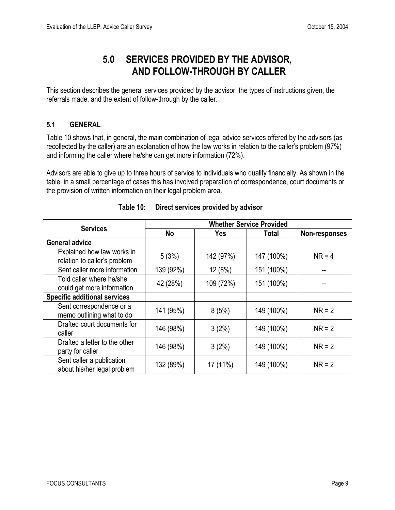# <span id="page-16-0"></span>**5.0 SERVICES PROVIDED BY THE ADVISOR, AND FOLLOW-THROUGH BY CALLER**

This section describes the general services provided by the advisor, the types of instructions given, the referrals made, and the extent of follow-through by the caller.

## <span id="page-16-1"></span>**5.1 GENERAL**

Table 10 shows that, in general, the main combination of legal advice services offered by the advisors (as recollected by the caller) are an explanation of how the law works in relation to the caller's problem (97%) and informing the caller where he/she can get more information (72%).

Advisors are able to give up to three hours of service to individuals who qualify financially. As shown in the table, in a small percentage of cases this has involved preparation of correspondence, court documents or the provision of written information on their legal problem area.

| <b>Services</b>                                            |           |            | <b>Whether Service Provided</b> |               |
|------------------------------------------------------------|-----------|------------|---------------------------------|---------------|
|                                                            | No        | <b>Yes</b> | Total                           | Non-responses |
| <b>General advice</b>                                      |           |            |                                 |               |
| Explained how law works in<br>relation to caller's problem | 5(3%)     | 142 (97%)  | 147 (100%)                      | $NR = 4$      |
| Sent caller more information                               | 139 (92%) | 12 (8%)    | 151 (100%)                      |               |
| Told caller where he/she<br>could get more information     | 42 (28%)  | 109 (72%)  | 151 (100%)                      |               |
| <b>Specific additional services</b>                        |           |            |                                 |               |
| Sent correspondence or a<br>memo outlining what to do      | 141 (95%) | 8(5%)      | 149 (100%)                      | $NR = 2$      |
| Drafted court documents for<br>caller                      | 146 (98%) | 3(2%)      | 149 (100%)                      | $NR = 2$      |
| Drafted a letter to the other<br>party for caller          | 146 (98%) | 3(2%)      | 149 (100%)                      | $NR = 2$      |
| Sent caller a publication<br>about his/her legal problem   | 132 (89%) | 17 (11%)   | 149 (100%)                      | $NR = 2$      |

<span id="page-16-2"></span>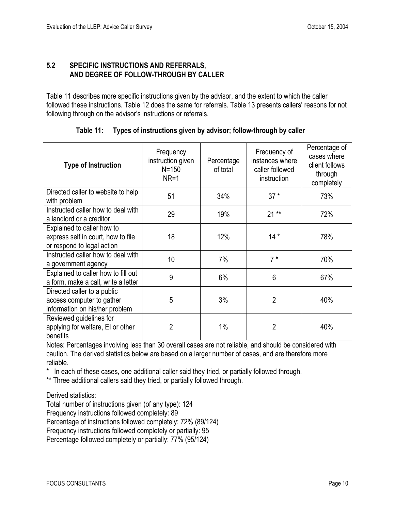## <span id="page-17-0"></span>**5.2 SPECIFIC INSTRUCTIONS AND REFERRALS, AND DEGREE OF FOLLOW-THROUGH BY CALLER**

Table 11 describes more specific instructions given by the advisor, and the extent to which the caller followed these instructions. Table 12 does the same for referrals. Table 13 presents callers' reasons for not following through on the advisor's instructions or referrals.

| <b>Type of Instruction</b>                                                                     | Frequency<br>instruction given<br>$N = 150$<br>$NR=1$ | Percentage<br>of total | Frequency of<br>instances where<br>caller followed<br>instruction | Percentage of<br>cases where<br>client follows<br>through<br>completely |
|------------------------------------------------------------------------------------------------|-------------------------------------------------------|------------------------|-------------------------------------------------------------------|-------------------------------------------------------------------------|
| Directed caller to website to help<br>with problem                                             | 51                                                    | 34%                    | $37*$                                                             | 73%                                                                     |
| Instructed caller how to deal with<br>a landlord or a creditor                                 | 29                                                    | 19%                    | $21**$                                                            | 72%                                                                     |
| Explained to caller how to<br>express self in court, how to file<br>or respond to legal action | 18                                                    | 12%                    | $14*$                                                             | 78%                                                                     |
| Instructed caller how to deal with<br>a government agency                                      | 10                                                    | 7%                     | $7*$                                                              | 70%                                                                     |
| Explained to caller how to fill out<br>a form, make a call, write a letter                     | 9                                                     | 6%                     | 6                                                                 | 67%                                                                     |
| Directed caller to a public<br>access computer to gather<br>information on his/her problem     | 5                                                     | 3%                     | $\overline{2}$                                                    | 40%                                                                     |
| Reviewed guidelines for<br>applying for welfare, EI or other<br>benefits                       | 2                                                     | 1%                     | $\overline{2}$                                                    | 40%                                                                     |

<span id="page-17-1"></span>**Table 11: Types of instructions given by advisor; follow-through by caller**

Notes: Percentages involving less than 30 overall cases are not reliable, and should be considered with caution. The derived statistics below are based on a larger number of cases, and are therefore more reliable.

\* In each of these cases, one additional caller said they tried, or partially followed through.

\*\* Three additional callers said they tried, or partially followed through.

Derived statistics:

Total number of instructions given (of any type): 124 Frequency instructions followed completely: 89 Percentage of instructions followed completely: 72% (89/124) Frequency instructions followed completely or partially: 95

Percentage followed completely or partially: 77% (95/124)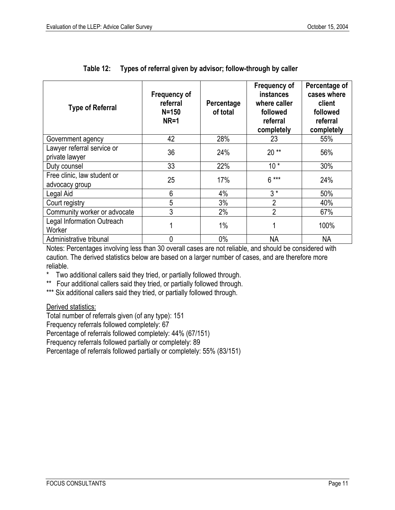| <b>Type of Referral</b>                       | <b>Frequency of</b><br>referral<br>$N = 150$<br>$NR=1$ | Percentage<br>of total | Frequency of<br><b>instances</b><br>where caller<br>followed<br>referral<br>completely | Percentage of<br>cases where<br>client<br>followed<br>referral<br>completely |
|-----------------------------------------------|--------------------------------------------------------|------------------------|----------------------------------------------------------------------------------------|------------------------------------------------------------------------------|
| Government agency                             | 42                                                     | 28%                    | 23                                                                                     | 55%                                                                          |
| Lawyer referral service or<br>private lawyer  | 36                                                     | 24%                    | $20**$                                                                                 | 56%                                                                          |
| Duty counsel                                  | 33                                                     | 22%                    | $10*$                                                                                  | 30%                                                                          |
| Free clinic, law student or<br>advocacy group | 25                                                     | 17%                    | $6***$                                                                                 | 24%                                                                          |
| Legal Aid                                     | 6                                                      | 4%                     | $3*$                                                                                   | 50%                                                                          |
| Court registry                                | 5                                                      | 3%                     | $\overline{2}$                                                                         | 40%                                                                          |
| Community worker or advocate                  | 3                                                      | 2%                     | $\overline{2}$                                                                         | 67%                                                                          |
| <b>Legal Information Outreach</b><br>Worker   |                                                        | 1%                     |                                                                                        | 100%                                                                         |
| Administrative tribunal                       | 0                                                      | 0%                     | NA                                                                                     | <b>NA</b>                                                                    |

<span id="page-18-0"></span>

|  |  |  | Table 12: Types of referral given by advisor; follow-through by caller |
|--|--|--|------------------------------------------------------------------------|
|--|--|--|------------------------------------------------------------------------|

Notes: Percentages involving less than 30 overall cases are not reliable, and should be considered with caution. The derived statistics below are based on a larger number of cases, and are therefore more reliable.

- Two additional callers said they tried, or partially followed through.
- \*\* Four additional callers said they tried, or partially followed through.
- \*\*\* Six additional callers said they tried, or partially followed through.

## Derived statistics:

Total number of referrals given (of any type): 151 Frequency referrals followed completely: 67

Percentage of referrals followed completely: 44% (67/151)

Frequency referrals followed partially or completely: 89

Percentage of referrals followed partially or completely: 55% (83/151)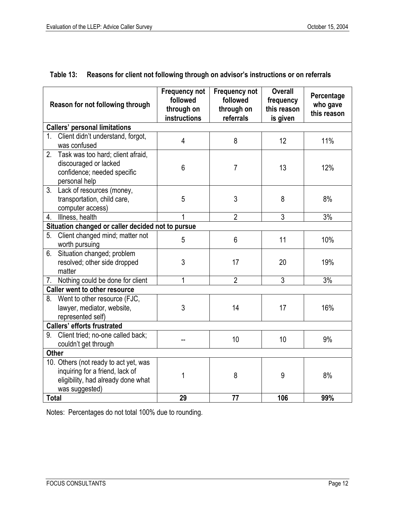|                | Reason for not following through                                                                                                 | <b>Frequency not</b><br>followed<br>through on<br>instructions | <b>Frequency not</b><br>followed<br>through on<br>referrals | <b>Overall</b><br>frequency<br>this reason<br>is given | Percentage<br>who gave<br>this reason |
|----------------|----------------------------------------------------------------------------------------------------------------------------------|----------------------------------------------------------------|-------------------------------------------------------------|--------------------------------------------------------|---------------------------------------|
|                | <b>Callers' personal limitations</b>                                                                                             |                                                                |                                                             |                                                        |                                       |
| 1 <sup>1</sup> | Client didn't understand, forgot,<br>was confused                                                                                | 4                                                              | 8                                                           | 12                                                     | 11%                                   |
| 2.             | Task was too hard; client afraid,<br>discouraged or lacked<br>confidence; needed specific<br>personal help                       | 6                                                              | $\overline{7}$                                              | 13                                                     | 12%                                   |
| 3.             | Lack of resources (money,<br>transportation, child care,<br>computer access)                                                     | 5                                                              | 3                                                           | 8                                                      | 8%                                    |
| 4.             | Illness, health                                                                                                                  | 1                                                              | $\overline{2}$                                              | 3                                                      | 3%                                    |
|                | Situation changed or caller decided not to pursue                                                                                |                                                                |                                                             |                                                        |                                       |
| 5.             | Client changed mind; matter not<br>worth pursuing                                                                                | 5                                                              | $6\phantom{1}6$                                             | 11                                                     | 10%                                   |
|                | 6. Situation changed; problem<br>resolved; other side dropped<br>matter                                                          | 3                                                              | 17                                                          | 20                                                     | 19%                                   |
| 7.             | Nothing could be done for client                                                                                                 | 1                                                              | $\overline{2}$                                              | 3                                                      | 3%                                    |
|                | <b>Caller went to other resource</b>                                                                                             |                                                                |                                                             |                                                        |                                       |
| 8.             | Went to other resource (FJC,<br>lawyer, mediator, website,<br>represented self)                                                  | 3                                                              | 14                                                          | 17                                                     | 16%                                   |
|                | <b>Callers' efforts frustrated</b>                                                                                               |                                                                |                                                             |                                                        |                                       |
| 9.             | Client tried; no-one called back;<br>couldn't get through                                                                        |                                                                | 10                                                          | 10                                                     | 9%                                    |
|                | <b>Other</b>                                                                                                                     |                                                                |                                                             |                                                        |                                       |
|                | 10. Others (not ready to act yet, was<br>inquiring for a friend, lack of<br>eligibility, had already done what<br>was suggested) | 1                                                              | 8                                                           | 9                                                      | 8%                                    |
|                | <b>Total</b>                                                                                                                     | 29                                                             | 77                                                          | 106                                                    | 99%                                   |

## <span id="page-19-0"></span>Table 13: Reasons for client not following through on advisor's instructions or on referrals

Notes: Percentages do not total 100% due to rounding.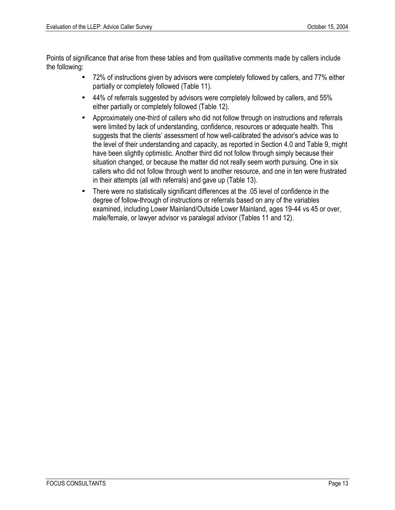Points of significance that arise from these tables and from qualitative comments made by callers include the following:

- 72% of instructions given by advisors were completely followed by callers, and 77% either partially or completely followed (Table 11).
- 44% of referrals suggested by advisors were completely followed by callers, and 55% either partially or completely followed (Table 12).
- Approximately one-third of callers who did not follow through on instructions and referrals were limited by lack of understanding, confidence, resources or adequate health. This suggests that the clients' assessment of how well-calibrated the advisor's advice was to the level of their understanding and capacity, as reported in Section 4.0 and Table 9, might have been slightly optimistic. Another third did not follow through simply because their situation changed, or because the matter did not really seem worth pursuing. One in six callers who did not follow through went to another resource, and one in ten were frustrated in their attempts (all with referrals) and gave up (Table 13).
- There were no statistically significant differences at the .05 level of confidence in the degree of follow-through of instructions or referrals based on any of the variables examined, including Lower Mainland/Outside Lower Mainland, ages 19-44 vs 45 or over, male/female, or lawyer advisor vs paralegal advisor (Tables 11 and 12).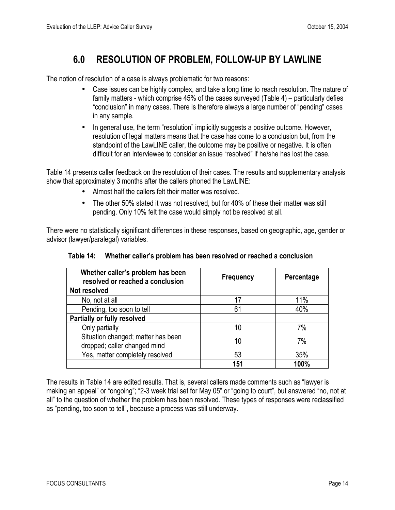# <span id="page-21-0"></span>**6.0 RESOLUTION OF PROBLEM, FOLLOW-UP BY LAWLINE**

The notion of resolution of a case is always problematic for two reasons:

- Case issues can be highly complex, and take a long time to reach resolution. The nature of family matters - which comprise 45% of the cases surveyed (Table 4) – particularly defies "conclusion" in many cases. There is therefore always a large number of "pending" cases in any sample.
- In general use, the term "resolution" implicitly suggests a positive outcome. However, resolution of legal matters means that the case has come to a conclusion but, from the standpoint of the LawLINE caller, the outcome may be positive or negative. It is often difficult for an interviewee to consider an issue "resolved" if he/she has lost the case.

Table 14 presents caller feedback on the resolution of their cases. The results and supplementary analysis show that approximately 3 months after the callers phoned the LawLINE:

- Almost half the callers felt their matter was resolved.
- The other 50% stated it was not resolved, but for 40% of these their matter was still pending. Only 10% felt the case would simply not be resolved at all.

There were no statistically significant differences in these responses, based on geographic, age, gender or advisor (lawyer/paralegal) variables.

| Whether caller's problem has been<br>resolved or reached a conclusion | <b>Frequency</b> | Percentage |
|-----------------------------------------------------------------------|------------------|------------|
| Not resolved                                                          |                  |            |
| No, not at all                                                        | 17               | 11%        |
| Pending, too soon to tell                                             | 61               | 40%        |
| <b>Partially or fully resolved</b>                                    |                  |            |
| Only partially                                                        | 10               | 7%         |
| Situation changed; matter has been<br>dropped; caller changed mind    | 10               | 7%         |
| Yes, matter completely resolved                                       | 53               | 35%        |
|                                                                       | 151              | 100%       |

<span id="page-21-1"></span>

The results in Table 14 are edited results. That is, several callers made comments such as "lawyer is making an appeal" or "ongoing"; "2-3 week trial set for May 05" or "going to court", but answered "no, not at all" to the question of whether the problem has been resolved. These types of responses were reclassified as "pending, too soon to tell", because a process was still underway.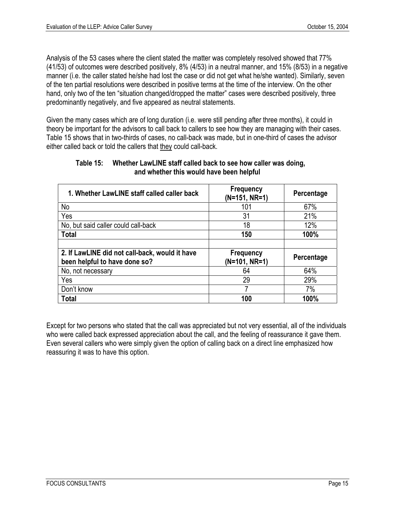**2. If LawLINE did not call-back, would it have**

**been helpful to have done so?**

Analysis of the 53 cases where the client stated the matter was completely resolved showed that 77% (41/53) of outcomes were described positively, 8% (4/53) in a neutral manner, and 15% (8/53) in a negative manner (i.e. the caller stated he/she had lost the case or did not get what he/she wanted). Similarly, seven of the ten partial resolutions were described in positive terms at the time of the interview. On the other hand, only two of the ten "situation changed/dropped the matter" cases were described positively, three predominantly negatively, and five appeared as neutral statements.

Given the many cases which are of long duration (i.e. were still pending after three months), it could in theory be important for the advisors to call back to callers to see how they are managing with their cases. Table 15 shows that in two-thirds of cases, no call-back was made, but in one-third of cases the advisor either called back or told the callers that they could call-back.

| 1. Whether LawLINE staff called caller back | <b>Frequency</b><br>$(N=151, NR=1)$ | Percentage |
|---------------------------------------------|-------------------------------------|------------|
| No                                          | 101                                 | 67%        |
| Yes                                         | 31                                  | 21%        |
| No, but said caller could call-back         | 18                                  | 12%        |
| Total                                       | 150                                 | 100%       |
|                                             |                                     |            |

No, not necessary and the set of the set of the set of the set of the set of the set of the set of the set of the set of the set of the set of the set of the set of the set of the set of the set of the set of the set of th Yes 29 29% Donít know 7 7% **Total 100 100%**

**Frequency**

**(N=101, NR=1) Percentage**

## <span id="page-22-0"></span>**Table 15: Whether LawLINE staff called back to see how caller was doing, and whether this would have been helpful**

Except for two persons who stated that the call was appreciated but not very essential, all of the individuals who were called back expressed appreciation about the call, and the feeling of reassurance it gave them. Even several callers who were simply given the option of calling back on a direct line emphasized how reassuring it was to have this option.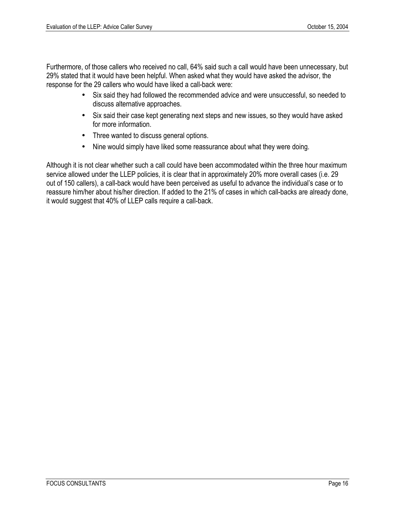Furthermore, of those callers who received no call, 64% said such a call would have been unnecessary, but 29% stated that it would have been helpful. When asked what they would have asked the advisor, the response for the 29 callers who would have liked a call-back were:

- Six said they had followed the recommended advice and were unsuccessful, so needed to discuss alternative approaches.
- Six said their case kept generating next steps and new issues, so they would have asked for more information.
- Three wanted to discuss general options.
- Nine would simply have liked some reassurance about what they were doing.

Although it is not clear whether such a call could have been accommodated within the three hour maximum service allowed under the LLEP policies, it is clear that in approximately 20% more overall cases (i.e. 29 out of 150 callers), a call-back would have been perceived as useful to advance the individual's case or to reassure him/her about his/her direction. If added to the 21% of cases in which call-backs are already done, it would suggest that 40% of LLEP calls require a call-back.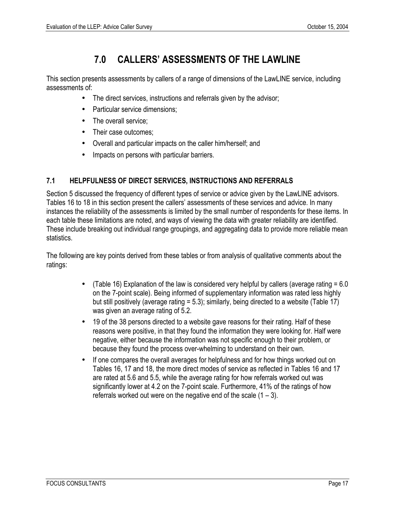# <span id="page-24-0"></span>**7.0 CALLERSí ASSESSMENTS OF THE LAWLINE**

This section presents assessments by callers of a range of dimensions of the LawLINE service, including assessments of:

- The direct services, instructions and referrals given by the advisor;
- Particular service dimensions;
- The overall service:
- Their case outcomes:
- Overall and particular impacts on the caller him/herself; and
- Impacts on persons with particular barriers.

## <span id="page-24-1"></span>**7.1 HELPFULNESS OF DIRECT SERVICES, INSTRUCTIONS AND REFERRALS**

Section 5 discussed the frequency of different types of service or advice given by the LawLINE advisors. Tables 16 to 18 in this section present the callers' assessments of these services and advice. In many instances the reliability of the assessments is limited by the small number of respondents for these items. In each table these limitations are noted, and ways of viewing the data with greater reliability are identified. These include breaking out individual range groupings, and aggregating data to provide more reliable mean statistics.

The following are key points derived from these tables or from analysis of qualitative comments about the ratings:

- (Table 16) Explanation of the law is considered very helpful by callers (average rating  $= 6.0$ ) on the 7-point scale). Being informed of supplementary information was rated less highly but still positively (average rating = 5.3); similarly, being directed to a website (Table 17) was given an average rating of 5.2.
- 19 of the 38 persons directed to a website gave reasons for their rating. Half of these reasons were positive, in that they found the information they were looking for. Half were negative, either because the information was not specific enough to their problem, or because they found the process over-whelming to understand on their own.
- If one compares the overall averages for helpfulness and for how things worked out on Tables 16, 17 and 18, the more direct modes of service as reflected in Tables 16 and 17 are rated at 5.6 and 5.5, while the average rating for how referrals worked out was significantly lower at 4.2 on the 7-point scale. Furthermore, 41% of the ratings of how referrals worked out were on the negative end of the scale  $(1 - 3)$ .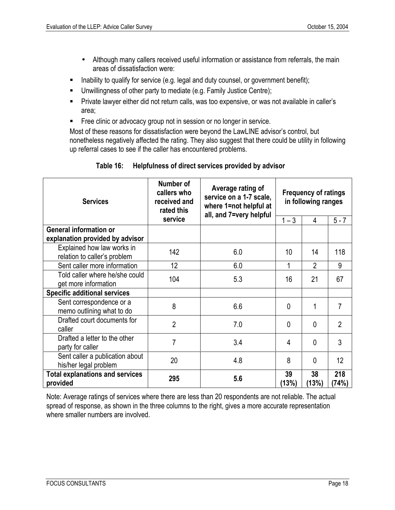- Although many callers received useful information or assistance from referrals, the main areas of dissatisfaction were:
- ! Inability to qualify for service (e.g. legal and duty counsel, or government benefit);
- ! Unwillingness of other party to mediate (e.g. Family Justice Centre);
- " Private lawyer either did not return calls, was too expensive, or was not available in caller's area;
- **Example 2** Free clinic or advocacy group not in session or no longer in service.

Most of these reasons for dissatisfaction were beyond the LawLINE advisor's control, but nonetheless negatively affected the rating. They also suggest that there could be utility in following up referral cases to see if the caller has encountered problems.

| <b>Services</b>                                                  | Number of<br>callers who<br>received and<br>rated this | Average rating of<br>service on a 1-7 scale,<br>where 1=not helpful at<br>all, and 7=very helpful |                 |                | <b>Frequency of ratings</b><br>in following ranges |  |
|------------------------------------------------------------------|--------------------------------------------------------|---------------------------------------------------------------------------------------------------|-----------------|----------------|----------------------------------------------------|--|
|                                                                  | service                                                |                                                                                                   | $1 - 3$         | 4              | $5 - 7$                                            |  |
| <b>General information or</b><br>explanation provided by advisor |                                                        |                                                                                                   |                 |                |                                                    |  |
| Explained how law works in<br>relation to caller's problem       | 142                                                    | 6.0                                                                                               | 10 <sup>1</sup> | 14             | 118                                                |  |
| Sent caller more information                                     | 12                                                     | 6.0                                                                                               | 1               | $\overline{2}$ | 9                                                  |  |
| Told caller where he/she could<br>get more information           | 104                                                    | 5.3                                                                                               | 16              | 21             | 67                                                 |  |
| <b>Specific additional services</b>                              |                                                        |                                                                                                   |                 |                |                                                    |  |
| Sent correspondence or a<br>memo outlining what to do            | 8                                                      | 6.6                                                                                               | $\mathbf{0}$    | 1              | $\overline{7}$                                     |  |
| Drafted court documents for<br>caller                            | $\overline{2}$                                         | 7.0                                                                                               | $\mathbf 0$     | $\mathbf 0$    | $\overline{2}$                                     |  |
| Drafted a letter to the other<br>party for caller                | 7                                                      | 3.4                                                                                               | $\overline{4}$  | $\mathbf{0}$   | 3                                                  |  |
| Sent caller a publication about<br>his/her legal problem         | 20                                                     | 4.8                                                                                               |                 | $\mathbf{0}$   | 12                                                 |  |
| <b>Total explanations and services</b><br>provided               | 295                                                    | 5.6                                                                                               | 39<br>(13%)     | 38<br>(13%)    | 218<br>(74%)                                       |  |

## <span id="page-25-0"></span>**Table 16: Helpfulness of direct services provided by advisor**

Note: Average ratings of services where there are less than 20 respondents are not reliable. The actual spread of response, as shown in the three columns to the right, gives a more accurate representation where smaller numbers are involved.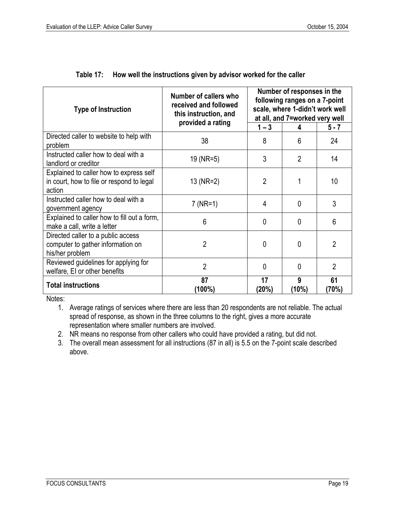| <b>Type of Instruction</b>                                                                     | Number of callers who<br>received and followed<br>this instruction, and<br>provided a rating | Number of responses in the<br>following ranges on a 7-point<br>scale, where 1-didn't work well<br>at all, and 7=worked very well |                |                |
|------------------------------------------------------------------------------------------------|----------------------------------------------------------------------------------------------|----------------------------------------------------------------------------------------------------------------------------------|----------------|----------------|
|                                                                                                |                                                                                              | $1 - 3$                                                                                                                          | 4              | $5 - 7$        |
| Directed caller to website to help with<br>problem                                             | 38                                                                                           | 8                                                                                                                                | 6              | 24             |
| Instructed caller how to deal with a<br>landlord or creditor                                   | 19 (NR=5)                                                                                    | 3                                                                                                                                | $\overline{2}$ | 14             |
| Explained to caller how to express self<br>in court, how to file or respond to legal<br>action | 13 (NR=2)                                                                                    | $\overline{2}$                                                                                                                   | 1              | 10             |
| Instructed caller how to deal with a<br>government agency                                      | $7$ (NR=1)                                                                                   | 4                                                                                                                                | $\Omega$       | 3              |
| Explained to caller how to fill out a form,<br>make a call, write a letter                     | 6                                                                                            | $\Omega$                                                                                                                         | $\theta$       | 6              |
| Directed caller to a public access<br>computer to gather information on<br>his/her problem     | $\overline{2}$                                                                               | $\Omega$                                                                                                                         | 0              | $\overline{2}$ |
| Reviewed guidelines for applying for<br>welfare, EI or other benefits                          | $\overline{2}$                                                                               | $\Omega$                                                                                                                         | 0              | $\overline{2}$ |
| <b>Total instructions</b>                                                                      | 87<br>(100%)                                                                                 | 17<br>(20%)                                                                                                                      | 9<br>(10%)     | 61<br>(70%)    |

<span id="page-26-0"></span>

| Table 17: How well the instructions given by advisor worked for the caller |  |  |  |  |
|----------------------------------------------------------------------------|--|--|--|--|
|----------------------------------------------------------------------------|--|--|--|--|

Notes:

1. Average ratings of services where there are less than 20 respondents are not reliable. The actual spread of response, as shown in the three columns to the right, gives a more accurate representation where smaller numbers are involved.

- 2. NR means no response from other callers who could have provided a rating, but did not.
- 3. The overall mean assessment for all instructions (87 in all) is 5.5 on the 7-point scale described above.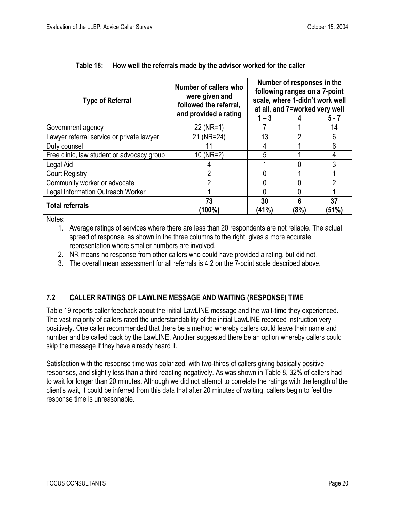| <b>Type of Referral</b>                    | Number of callers who<br>were given and<br>followed the referral,<br>and provided a rating | Number of responses in the<br>following ranges on a 7-point<br>scale, where 1-didn't work well<br>at all, and 7=worked very well |      |             |  |
|--------------------------------------------|--------------------------------------------------------------------------------------------|----------------------------------------------------------------------------------------------------------------------------------|------|-------------|--|
|                                            |                                                                                            | $1 - 3$                                                                                                                          |      | $5 - 7$     |  |
| Government agency                          | 22 (NR=1)                                                                                  |                                                                                                                                  |      | 14          |  |
| Lawyer referral service or private lawyer  | 21 (NR=24)                                                                                 | 13                                                                                                                               | 2    | 6           |  |
| Duty counsel                               |                                                                                            |                                                                                                                                  |      | 6           |  |
| Free clinic, law student or advocacy group | 10 (NR=2)                                                                                  | 5                                                                                                                                |      | 4           |  |
| Legal Aid                                  |                                                                                            |                                                                                                                                  |      | 3           |  |
| <b>Court Registry</b>                      | 2                                                                                          | 0                                                                                                                                |      |             |  |
| Community worker or advocate               | ŋ                                                                                          |                                                                                                                                  |      | റ           |  |
| <b>Legal Information Outreach Worker</b>   |                                                                                            |                                                                                                                                  | 0    |             |  |
| <b>Total referrals</b>                     | 73<br>(100%                                                                                | 30<br>(41%)                                                                                                                      | (8%) | 37<br>(51%) |  |

<span id="page-27-1"></span>

Notes:

- 1. Average ratings of services where there are less than 20 respondents are not reliable. The actual spread of response, as shown in the three columns to the right, gives a more accurate representation where smaller numbers are involved.
- 2. NR means no response from other callers who could have provided a rating, but did not.
- 3. The overall mean assessment for all referrals is 4.2 on the 7-point scale described above.

## <span id="page-27-0"></span>**7.2 CALLER RATINGS OF LAWLINE MESSAGE AND WAITING (RESPONSE) TIME**

Table 19 reports caller feedback about the initial LawLINE message and the wait-time they experienced. The vast majority of callers rated the understandability of the initial LawLINE recorded instruction very positively. One caller recommended that there be a method whereby callers could leave their name and number and be called back by the LawLINE. Another suggested there be an option whereby callers could skip the message if they have already heard it.

Satisfaction with the response time was polarized, with two-thirds of callers giving basically positive responses, and slightly less than a third reacting negatively. As was shown in Table 8, 32% of callers had to wait for longer than 20 minutes. Although we did not attempt to correlate the ratings with the length of the clientís wait, it could be inferred from this data that after 20 minutes of waiting, callers begin to feel the response time is unreasonable.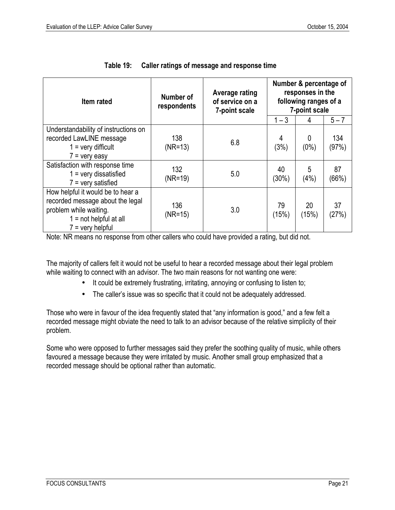| Item rated                                                                                                                                        | Number of<br>respondents | <b>Average rating</b><br>of service on a<br>7-point scale | $1 - 3$     | Number & percentage of<br>responses in the<br>following ranges of a<br>7-point scale<br>4 | $5 - 7$      |
|---------------------------------------------------------------------------------------------------------------------------------------------------|--------------------------|-----------------------------------------------------------|-------------|-------------------------------------------------------------------------------------------|--------------|
| Understandability of instructions on<br>recorded LawLINE message<br>$1 = \text{very difficult}$<br>$7 =$ very easy                                | 138<br>$(NR = 13)$       | 6.8                                                       | 4<br>(3%)   | 0<br>$(0\%)$                                                                              | 134<br>(97%) |
| Satisfaction with response time<br>$1 =$ very dissatisfied<br>$7 =$ very satisfied                                                                | 132<br>$(NR = 19)$       | 5.0                                                       | 40<br>(30%) | 5<br>(4% )                                                                                | 87<br>(66%)  |
| How helpful it would be to hear a<br>recorded message about the legal<br>problem while waiting.<br>$1 = not helpful at all$<br>$7 =$ very helpful | 136<br>$(NR = 15)$       | 3.0                                                       | 79<br>(15%) | 20<br>(15%)                                                                               | 37<br>(27%)  |

<span id="page-28-0"></span>

|  | Table 19: Caller ratings of message and response time |
|--|-------------------------------------------------------|
|  |                                                       |

Note: NR means no response from other callers who could have provided a rating, but did not.

The majority of callers felt it would not be useful to hear a recorded message about their legal problem while waiting to connect with an advisor. The two main reasons for not wanting one were:

- It could be extremely frustrating, irritating, annoying or confusing to listen to;
- The caller's issue was so specific that it could not be adequately addressed.

Those who were in favour of the idea frequently stated that "any information is good," and a few felt a recorded message might obviate the need to talk to an advisor because of the relative simplicity of their problem.

Some who were opposed to further messages said they prefer the soothing quality of music, while others favoured a message because they were irritated by music. Another small group emphasized that a recorded message should be optional rather than automatic.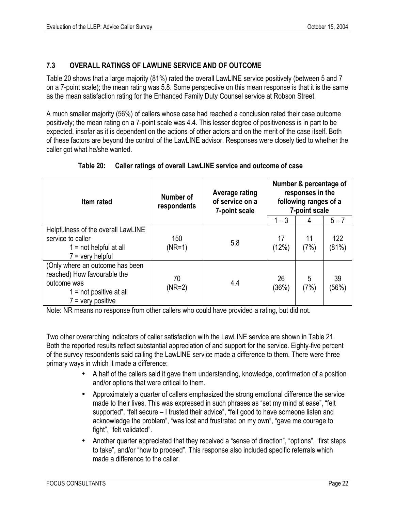## <span id="page-29-0"></span>**7.3 OVERALL RATINGS OF LAWLINE SERVICE AND OF OUTCOME**

Table 20 shows that a large majority (81%) rated the overall LawLINE service positively (between 5 and 7 on a 7-point scale); the mean rating was 5.8. Some perspective on this mean response is that it is the same as the mean satisfaction rating for the Enhanced Family Duty Counsel service at Robson Street.

A much smaller majority (56%) of callers whose case had reached a conclusion rated their case outcome positively; the mean rating on a 7-point scale was 4.4. This lesser degree of positiveness is in part to be expected, insofar as it is dependent on the actions of other actors and on the merit of the case itself. Both of these factors are beyond the control of the LawLINE advisor. Responses were closely tied to whether the caller got what he/she wanted.

| Item rated                                                                                                                        | Number of<br>respondents | <b>Average rating</b><br>of service on a<br>7-point scale |             | Number & percentage of<br>responses in the<br>following ranges of a<br>7-point scale |              |
|-----------------------------------------------------------------------------------------------------------------------------------|--------------------------|-----------------------------------------------------------|-------------|--------------------------------------------------------------------------------------|--------------|
|                                                                                                                                   |                          |                                                           | $1 - 3$     | 4                                                                                    | $5 - 7$      |
| Helpfulness of the overall LawLINE<br>service to caller<br>$1 = not helpful at all$<br>$7 =$ very helpful                         | 150<br>$(NR=1)$          | 5.8                                                       | 17<br>(12%) | 11<br>(7%)                                                                           | 122<br>(81%) |
| (Only where an outcome has been<br>reached) How favourable the<br>outcome was<br>$1 = not positive at all$<br>$7 =$ very positive | 70<br>$(NR=2)$           | 4.4                                                       | 26<br>(36%) | 5<br>(7%)                                                                            | 39<br>(56%)  |

<span id="page-29-1"></span>**Table 20: Caller ratings of overall LawLINE service and outcome of case**

Note: NR means no response from other callers who could have provided a rating, but did not.

Two other overarching indicators of caller satisfaction with the LawLINE service are shown in Table 21. Both the reported results reflect substantial appreciation of and support for the service. Eighty-five percent of the survey respondents said calling the LawLINE service made a difference to them. There were three primary ways in which it made a difference:

- A half of the callers said it gave them understanding, knowledge, confirmation of a position and/or options that were critical to them.
- Approximately a quarter of callers emphasized the strong emotional difference the service made to their lives. This was expressed in such phrases as "set my mind at ease", "felt supported", "felt secure  $-1$  trusted their advice", "felt good to have someone listen and acknowledge the problem<sup>"</sup>, "was lost and frustrated on my own", "gave me courage to fight". "felt validated".
- Another quarter appreciated that they received a "sense of direction", "options", "first steps to take", and/or "how to proceed". This response also included specific referrals which made a difference to the caller.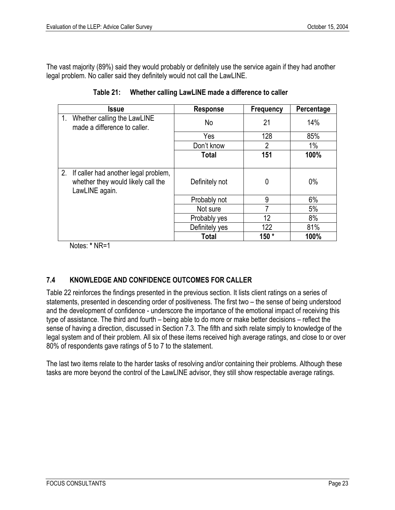The vast majority (89%) said they would probably or definitely use the service again if they had another legal problem. No caller said they definitely would not call the LawLINE.

| <b>Issue</b>                                                                                    | <b>Response</b> | <b>Frequency</b> | Percentage |
|-------------------------------------------------------------------------------------------------|-----------------|------------------|------------|
| $1_{\cdot}$<br>Whether calling the LawLINE<br>made a difference to caller.                      | No              | 21               | 14%        |
|                                                                                                 | Yes             | 128              | 85%        |
|                                                                                                 | Don't know      | $\overline{2}$   | 1%         |
|                                                                                                 | <b>Total</b>    | 151              | 100%       |
|                                                                                                 |                 |                  |            |
| 2. If caller had another legal problem,<br>whether they would likely call the<br>LawLINE again. | Definitely not  | 0                | 0%         |
|                                                                                                 | Probably not    | 9                | 6%         |
|                                                                                                 | Not sure        | 7                | 5%         |
|                                                                                                 | Probably yes    | 12               | 8%         |
|                                                                                                 | Definitely yes  | 122              | 81%        |
|                                                                                                 | <b>Total</b>    | $150*$           | 100%       |

<span id="page-30-1"></span>**Table 21: Whether calling LawLINE made a difference to caller**

Notes: **\*** NR=1

## <span id="page-30-0"></span>**7.4 KNOWLEDGE AND CONFIDENCE OUTCOMES FOR CALLER**

Table 22 reinforces the findings presented in the previous section. It lists client ratings on a series of statements, presented in descending order of positiveness. The first two – the sense of being understood and the development of confidence - underscore the importance of the emotional impact of receiving this type of assistance. The third and fourth  $-$  being able to do more or make better decisions  $-$  reflect the sense of having a direction, discussed in Section 7.3. The fifth and sixth relate simply to knowledge of the legal system and of their problem. All six of these items received high average ratings, and close to or over 80% of respondents gave ratings of 5 to 7 to the statement.

The last two items relate to the harder tasks of resolving and/or containing their problems. Although these tasks are more beyond the control of the LawLINE advisor, they still show respectable average ratings.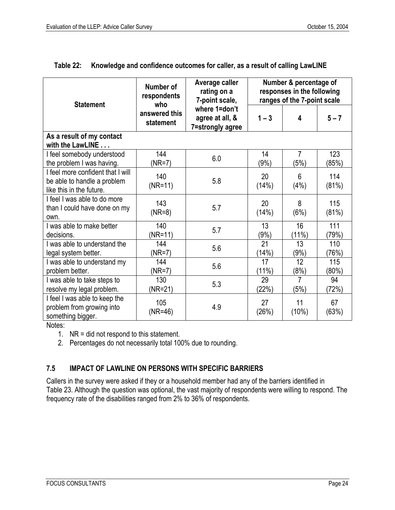| <b>Statement</b>                                                                             | Number of                  | Average caller                                       | Number & percentage of      |                |              |  |
|----------------------------------------------------------------------------------------------|----------------------------|------------------------------------------------------|-----------------------------|----------------|--------------|--|
|                                                                                              | respondents                | rating on a                                          | responses in the following  |                |              |  |
|                                                                                              | who                        | 7-point scale,                                       | ranges of the 7-point scale |                |              |  |
|                                                                                              | answered this<br>statement | where 1=don't<br>agree at all, &<br>7=strongly agree | $1 - 3$                     | 4              | $5 - 7$      |  |
| As a result of my contact<br>with the LawLINE                                                |                            |                                                      |                             |                |              |  |
| I feel somebody understood                                                                   | 144                        | 6.0                                                  | 14                          | $\overline{7}$ | 123          |  |
| the problem I was having.                                                                    | (NR=7)                     |                                                      | (9%)                        | (5%)           | (85%)        |  |
| I feel more confident that I will<br>be able to handle a problem<br>like this in the future. | 140<br>$(NR = 11)$         | 5.8                                                  | 20<br>(14%)                 | 6<br>(4% )     | 114<br>(81%) |  |
| I feel I was able to do more<br>than I could have done on my<br>own.                         | 143<br>$(NR=8)$            | 5.7                                                  | 20<br>(14%)                 | 8<br>(6%)      | 115<br>(81%) |  |
| I was able to make better                                                                    | 140                        | 5.7                                                  | 13                          | 16             | 111          |  |
| decisions.                                                                                   | $(NR = 11)$                |                                                      | (9%)                        | (11%)          | (79%)        |  |
| I was able to understand the                                                                 | 144                        | 5.6                                                  | 21                          | 13             | 110          |  |
| legal system better.                                                                         | (NR=7)                     |                                                      | (14%)                       | $(9\%)$        | (76%)        |  |
| I was able to understand my                                                                  | 144                        | 5.6                                                  | 17                          | 12             | 115          |  |
| problem better.                                                                              | $(NR=7)$                   |                                                      | (11%)                       | (8%)           | (80%)        |  |
| I was able to take steps to                                                                  | 130                        | 5.3                                                  | 29                          | 7              | 94           |  |
| resolve my legal problem.                                                                    | (NR=21)                    |                                                      | (22%)                       | (5%)           | (72%)        |  |
| I feel I was able to keep the<br>problem from growing into<br>something bigger.              | 105<br>$(NR = 46)$         | 4.9                                                  | 27<br>(26%)                 | 11<br>(10%)    | 67<br>(63%)  |  |

<span id="page-31-1"></span>

| Table 22: Knowledge and confidence outcomes for caller, as a result of calling LawLINE |  |
|----------------------------------------------------------------------------------------|--|
|                                                                                        |  |

Notes:

- 1. NR = did not respond to this statement.
- 2. Percentages do not necessarily total 100% due to rounding.

## <span id="page-31-0"></span>**7.5 IMPACT OF LAWLINE ON PERSONS WITH SPECIFIC BARRIERS**

Callers in the survey were asked if they or a household member had any of the barriers identified in Table 23. Although the question was optional, the vast majority of respondents were willing to respond. The frequency rate of the disabilities ranged from 2% to 36% of respondents.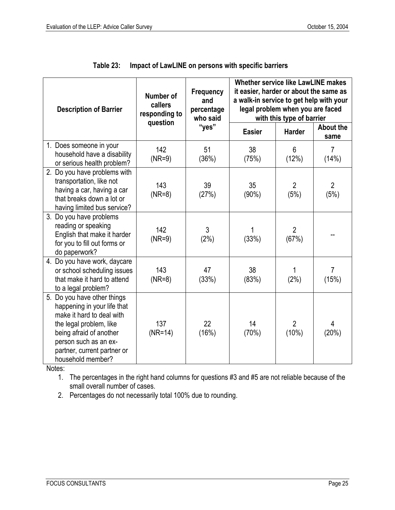| <b>Description of Barrier</b>                                                                                                                                                                                              | Number of<br>callers<br>responding to<br>question | <b>Frequency</b><br>and<br>percentage<br>who said | Whether service like LawLINE makes<br>it easier, harder or about the same as<br>a walk-in service to get help with your<br>legal problem when you are faced<br>with this type of barrier |                         |                          |
|----------------------------------------------------------------------------------------------------------------------------------------------------------------------------------------------------------------------------|---------------------------------------------------|---------------------------------------------------|------------------------------------------------------------------------------------------------------------------------------------------------------------------------------------------|-------------------------|--------------------------|
|                                                                                                                                                                                                                            |                                                   | "yes"                                             | <b>Easier</b>                                                                                                                                                                            | <b>Harder</b>           | <b>About the</b><br>same |
| 1. Does someone in your<br>household have a disability<br>or serious health problem?                                                                                                                                       | 142<br>$(NR=9)$                                   | 51<br>(36%)                                       | 38<br>(75%)                                                                                                                                                                              | 6<br>(12%)              | $\overline{7}$<br>(14%)  |
| 2. Do you have problems with<br>transportation, like not<br>having a car, having a car<br>that breaks down a lot or<br>having limited bus service?                                                                         | 143<br>$(NR=8)$                                   | 39<br>(27%)                                       | 35<br>(90%)                                                                                                                                                                              | $\overline{2}$<br>(5%)  | $\overline{2}$<br>(5%)   |
| 3. Do you have problems<br>reading or speaking<br>English that make it harder<br>for you to fill out forms or<br>do paperwork?                                                                                             | 142<br>$(NR=9)$                                   | 3<br>(2%)                                         | (33%)                                                                                                                                                                                    | $\overline{2}$<br>(67%) |                          |
| 4. Do you have work, daycare<br>or school scheduling issues<br>that make it hard to attend<br>to a legal problem?                                                                                                          | 143<br>$(NR=8)$                                   | 47<br>(33%)                                       | 38<br>(83%)                                                                                                                                                                              | 1<br>(2%)               | $\overline{7}$<br>(15%)  |
| 5. Do you have other things<br>happening in your life that<br>make it hard to deal with<br>the legal problem, like<br>being afraid of another<br>person such as an ex-<br>partner, current partner or<br>household member? | 137<br>$(NR = 14)$                                | 22<br>(16%)                                       | 14<br>(70%)                                                                                                                                                                              | $\overline{2}$<br>(10%) | 4<br>(20%)               |

<span id="page-32-0"></span>**Table 23: Impact of LawLINE on persons with specific barriers**

Notes:

1. The percentages in the right hand columns for questions #3 and #5 are not reliable because of the small overall number of cases.

2. Percentages do not necessarily total 100% due to rounding.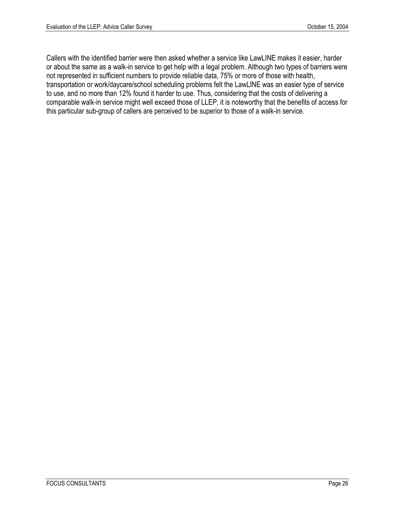Callers with the identified barrier were then asked whether a service like LawLINE makes it easier, harder or about the same as a walk-in service to get help with a legal problem. Although two types of barriers were not represented in sufficient numbers to provide reliable data, 75% or more of those with health, transportation or work/daycare/school scheduling problems felt the LawLINE was an easier type of service to use, and no more than 12% found it harder to use. Thus, considering that the costs of delivering a comparable walk-in service might well exceed those of LLEP, it is noteworthy that the benefits of access for this particular sub-group of callers are perceived to be superior to those of a walk-in service.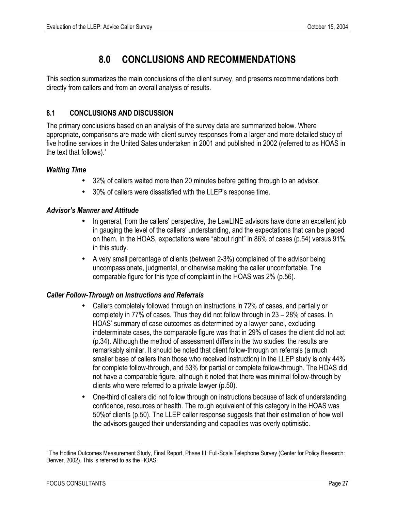# <span id="page-34-0"></span>**8.0 CONCLUSIONS AND RECOMMENDATIONS**

This section summarizes the main conclusions of the client survey, and presents recommendations both directly from callers and from an overall analysis of results.

## <span id="page-34-1"></span>**8.1 CONCLUSIONS AND DISCUSSION**

The primary conclusions based on an analysis of the survey data are summarized below. Where appropriate, comparisons are made with client survey responses from a larger and more detailed study of five hotline services in the United Sates undertaken in 2001 and published in 2002 (referred to as HOAS in the text that follows)[.\\*](#page-34-2)

## *Waiting Time*

- 32% of callers waited more than 20 minutes before getting through to an advisor.
- 30% of callers were dissatisfied with the LLEP's response time.

#### *Advisorís Manner and Attitude*

- In general, from the callers' perspective, the LawLINE advisors have done an excellent job in gauging the level of the callers' understanding, and the expectations that can be placed on them. In the HOAS, expectations were "about right" in 86% of cases (p.54) versus  $91\%$ in this study.
- A very small percentage of clients (between 2-3%) complained of the advisor being uncompassionate, judgmental, or otherwise making the caller uncomfortable. The comparable figure for this type of complaint in the HOAS was 2% (p.56).

## *Caller Follow-Through on Instructions and Referrals*

- Callers completely followed through on instructions in 72% of cases, and partially or completely in 77% of cases. Thus they did not follow through in  $23 - 28$ % of cases. In HOAS' summary of case outcomes as determined by a lawyer panel, excluding indeterminate cases, the comparable figure was that in 29% of cases the client did not act (p.34). Although the method of assessment differs in the two studies, the results are remarkably similar. It should be noted that client follow-through on referrals (a much smaller base of callers than those who received instruction) in the LLEP study is only 44% for complete follow-through, and 53% for partial or complete follow-through. The HOAS did not have a comparable figure, although it noted that there was minimal follow-through by clients who were referred to a private lawyer (p.50).
- One-third of callers did not follow through on instructions because of lack of understanding, confidence, resources or health. The rough equivalent of this category in the HOAS was 50%of clients (p.50). The LLEP caller response suggests that their estimation of how well the advisors gauged their understanding and capacities was overly optimistic.

 $\overline{a}$ 

<span id="page-34-2"></span><sup>\*</sup> The Hotline Outcomes Measurement Study, Final Report, Phase III: Full-Scale Telephone Survey (Center for Policy Research: Denver, 2002). This is referred to as the HOAS.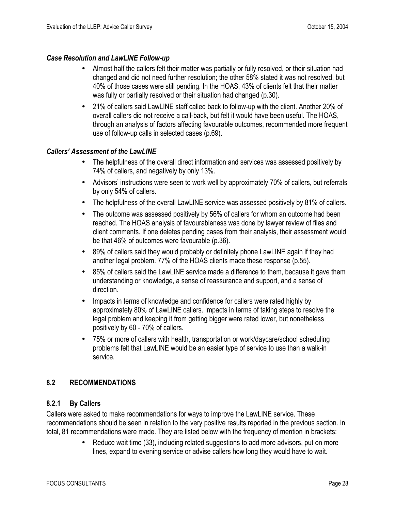#### *Case Resolution and LawLINE Follow-up*

- Almost half the callers felt their matter was partially or fully resolved, or their situation had changed and did not need further resolution; the other 58% stated it was not resolved, but 40% of those cases were still pending. In the HOAS, 43% of clients felt that their matter was fully or partially resolved or their situation had changed (p.30).
- 21% of callers said LawLINE staff called back to follow-up with the client. Another 20% of overall callers did not receive a call-back, but felt it would have been useful. The HOAS, through an analysis of factors affecting favourable outcomes, recommended more frequent use of follow-up calls in selected cases (p.69).

#### *Callersí Assessment of the LawLINE*

- The helpfulness of the overall direct information and services was assessed positively by 74% of callers, and negatively by only 13%.
- Advisors' instructions were seen to work well by approximately 70% of callers, but referrals by only 54% of callers.
- The helpfulness of the overall LawLINE service was assessed positively by 81% of callers.
- The outcome was assessed positively by 56% of callers for whom an outcome had been reached. The HOAS analysis of favourableness was done by lawyer review of files and client comments. If one deletes pending cases from their analysis, their assessment would be that 46% of outcomes were favourable (p.36).
- 89% of callers said they would probably or definitely phone LawLINE again if they had another legal problem. 77% of the HOAS clients made these response (p.55).
- 85% of callers said the LawLINE service made a difference to them, because it gave them understanding or knowledge, a sense of reassurance and support, and a sense of direction.
- Impacts in terms of knowledge and confidence for callers were rated highly by approximately 80% of LawLINE callers. Impacts in terms of taking steps to resolve the legal problem and keeping it from getting bigger were rated lower, but nonetheless positively by 60 - 70% of callers.
- 75% or more of callers with health, transportation or work/daycare/school scheduling problems felt that LawLINE would be an easier type of service to use than a walk-in service.

## <span id="page-35-0"></span>**8.2 RECOMMENDATIONS**

#### <span id="page-35-1"></span>**8.2.1 By Callers**

Callers were asked to make recommendations for ways to improve the LawLINE service. These recommendations should be seen in relation to the very positive results reported in the previous section. In total, 81 recommendations were made. They are listed below with the frequency of mention in brackets:

> • Reduce wait time (33), including related suggestions to add more advisors, put on more lines, expand to evening service or advise callers how long they would have to wait.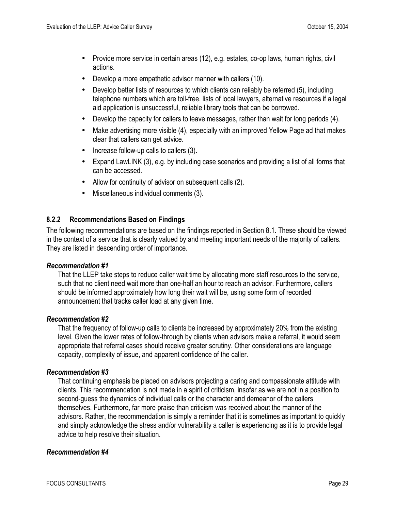- Provide more service in certain areas (12), e.g. estates, co-op laws, human rights, civil actions.
- Develop a more empathetic advisor manner with callers (10).
- Develop better lists of resources to which clients can reliably be referred (5), including telephone numbers which are toll-free, lists of local lawyers, alternative resources if a legal aid application is unsuccessful, reliable library tools that can be borrowed.
- Develop the capacity for callers to leave messages, rather than wait for long periods (4).
- Make advertising more visible (4), especially with an improved Yellow Page ad that makes clear that callers can get advice.
- Increase follow-up calls to callers (3).
- Expand LawLINK (3), e.g. by including case scenarios and providing a list of all forms that can be accessed.
- Allow for continuity of advisor on subsequent calls (2).
- Miscellaneous individual comments (3).

## <span id="page-36-0"></span>**8.2.2 Recommendations Based on Findings**

The following recommendations are based on the findings reported in Section 8.1. These should be viewed in the context of a service that is clearly valued by and meeting important needs of the majority of callers. They are listed in descending order of importance.

## *Recommendation #1*

That the LLEP take steps to reduce caller wait time by allocating more staff resources to the service, such that no client need wait more than one-half an hour to reach an advisor. Furthermore, callers should be informed approximately how long their wait will be, using some form of recorded announcement that tracks caller load at any given time.

## *Recommendation #2*

That the frequency of follow-up calls to clients be increased by approximately 20% from the existing level. Given the lower rates of follow-through by clients when advisors make a referral, it would seem appropriate that referral cases should receive greater scrutiny. Other considerations are language capacity, complexity of issue, and apparent confidence of the caller.

## *Recommendation #3*

That continuing emphasis be placed on advisors projecting a caring and compassionate attitude with clients. This recommendation is not made in a spirit of criticism, insofar as we are not in a position to second-guess the dynamics of individual calls or the character and demeanor of the callers themselves. Furthermore, far more praise than criticism was received about the manner of the advisors. Rather, the recommendation is simply a reminder that it is sometimes as important to quickly and simply acknowledge the stress and/or vulnerability a caller is experiencing as it is to provide legal advice to help resolve their situation.

## *Recommendation #4*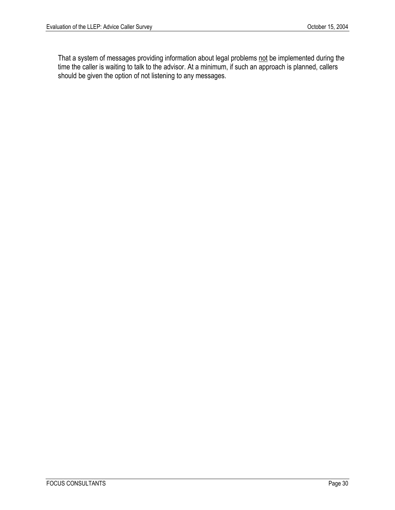That a system of messages providing information about legal problems not be implemented during the time the caller is waiting to talk to the advisor. At a minimum, if such an approach is planned, callers should be given the option of not listening to any messages.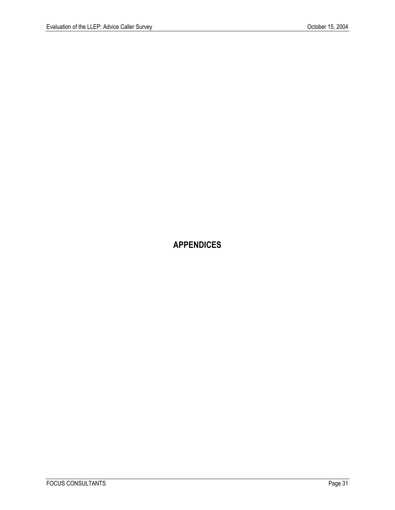## <span id="page-38-0"></span>**APPENDICES**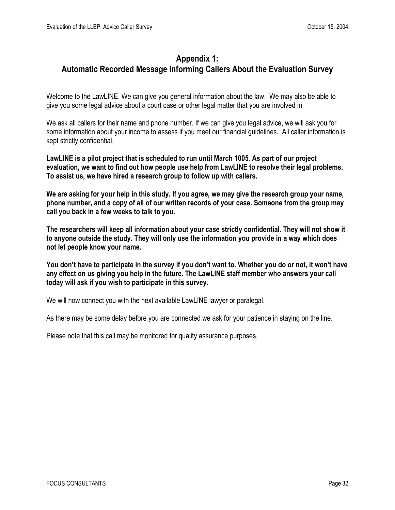## <span id="page-39-0"></span>**Appendix 1: Automatic Recorded Message Informing Callers About the Evaluation Survey**

Welcome to the LawLINE. We can give you general information about the law. We may also be able to give you some legal advice about a court case or other legal matter that you are involved in.

We ask all callers for their name and phone number. If we can give you legal advice, we will ask you for some information about your income to assess if you meet our financial guidelines. All caller information is kept strictly confidential.

**LawLINE is a pilot project that is scheduled to run until March 1005. As part of our project evaluation, we want to find out how people use help from LawLINE to resolve their legal problems. To assist us, we have hired a research group to follow up with callers.**

**We are asking for your help in this study. If you agree, we may give the research group your name, phone number, and a copy of all of our written records of your case. Someone from the group may call you back in a few weeks to talk to you.**

**The researchers will keep all information about your case strictly confidential. They will not show it to anyone outside the study. They will only use the information you provide in a way which does not let people know your name.**

You don't have to participate in the survey if you don't want to. Whether you do or not, it won't have **any effect on us giving you help in the future. The LawLINE staff member who answers your call today will ask if you wish to participate in this survey.**

We will now connect you with the next available LawLINE lawyer or paralegal.

As there may be some delay before you are connected we ask for your patience in staying on the line.

Please note that this call may be monitored for quality assurance purposes.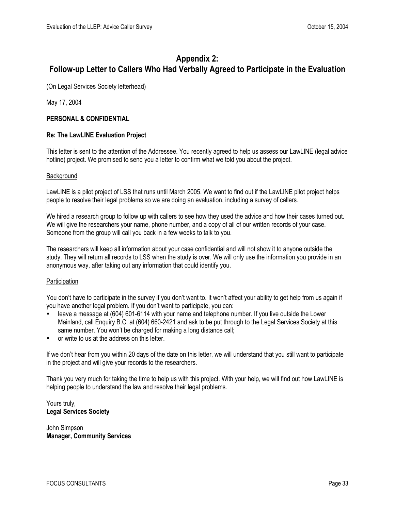## <span id="page-40-0"></span>**Appendix 2: Follow-up Letter to Callers Who Had Verbally Agreed to Participate in the Evaluation**

(On Legal Services Society letterhead)

May 17, 2004

#### **PERSONAL & CONFIDENTIAL**

#### **Re: The LawLINE Evaluation Project**

This letter is sent to the attention of the Addressee. You recently agreed to help us assess our LawLINE (legal advice hotline) project. We promised to send you a letter to confirm what we told you about the project.

#### **Background**

LawLINE is a pilot project of LSS that runs until March 2005. We want to find out if the LawLINE pilot project helps people to resolve their legal problems so we are doing an evaluation, including a survey of callers.

We hired a research group to follow up with callers to see how they used the advice and how their cases turned out. We will give the researchers your name, phone number, and a copy of all of our written records of your case. Someone from the group will call you back in a few weeks to talk to you.

The researchers will keep all information about your case confidential and will not show it to anyone outside the study. They will return all records to LSS when the study is over. We will only use the information you provide in an anonymous way, after taking out any information that could identify you.

#### **Participation**

You don't have to participate in the survey if you don't want to. It won't affect your ability to get help from us again if you have another legal problem. If you don't want to participate, you can:

- leave a message at (604) 601-6114 with your name and telephone number. If you live outside the Lower Mainland, call Enquiry B.C. at (604) 660-2421 and ask to be put through to the Legal Services Society at this same number. You won't be charged for making a long distance call;
- or write to us at the address on this letter.

If we donít hear from you within 20 days of the date on this letter, we will understand that you still want to participate in the project and will give your records to the researchers.

Thank you very much for taking the time to help us with this project. With your help, we will find out how LawLINE is helping people to understand the law and resolve their legal problems.

Yours truly, **Legal Services Society**

John Simpson **Manager, Community Services**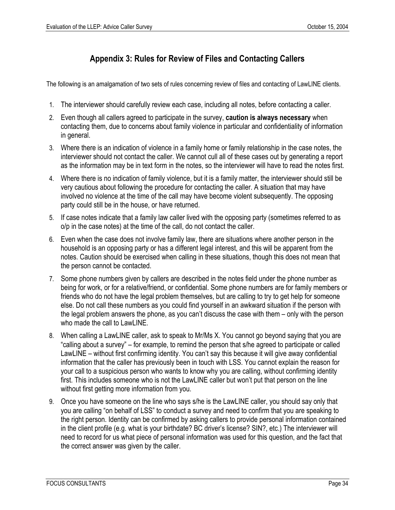## <span id="page-41-0"></span>**Appendix 3: Rules for Review of Files and Contacting Callers**

The following is an amalgamation of two sets of rules concerning review of files and contacting of LawLINE clients.

- 1. The interviewer should carefully review each case, including all notes, before contacting a caller.
- 2. Even though all callers agreed to participate in the survey, **caution is always necessary** when contacting them, due to concerns about family violence in particular and confidentiality of information in general.
- 3. Where there is an indication of violence in a family home or family relationship in the case notes, the interviewer should not contact the caller. We cannot cull all of these cases out by generating a report as the information may be in text form in the notes, so the interviewer will have to read the notes first.
- 4. Where there is no indication of family violence, but it is a family matter, the interviewer should still be very cautious about following the procedure for contacting the caller. A situation that may have involved no violence at the time of the call may have become violent subsequently. The opposing party could still be in the house, or have returned.
- 5. If case notes indicate that a family law caller lived with the opposing party (sometimes referred to as o/p in the case notes) at the time of the call, do not contact the caller.
- 6. Even when the case does not involve family law, there are situations where another person in the household is an opposing party or has a different legal interest, and this will be apparent from the notes. Caution should be exercised when calling in these situations, though this does not mean that the person cannot be contacted.
- 7. Some phone numbers given by callers are described in the notes field under the phone number as being for work, or for a relative/friend, or confidential. Some phone numbers are for family members or friends who do not have the legal problem themselves, but are calling to try to get help for someone else. Do not call these numbers as you could find yourself in an awkward situation if the person with the legal problem answers the phone, as you can't discuss the case with them  $-$  only with the person who made the call to LawLINE.
- 8. When calling a LawLINE caller, ask to speak to Mr/Ms X. You cannot go beyond saying that you are "calling about a survey" – for example, to remind the person that s/he agreed to participate or called LawLINE – without first confirming identity. You can't say this because it will give away confidential information that the caller has previously been in touch with LSS. You cannot explain the reason for your call to a suspicious person who wants to know why you are calling, without confirming identity first. This includes someone who is not the LawLINE caller but won't put that person on the line without first getting more information from you.
- 9. Once you have someone on the line who says s/he is the LawLINE caller, you should say only that you are calling "on behalf of LSS" to conduct a survey and need to confirm that you are speaking to the right person. Identity can be confirmed by asking callers to provide personal information contained in the client profile (e.g. what is your birthdate? BC driver's license? SIN?, etc.) The interviewer will need to record for us what piece of personal information was used for this question, and the fact that the correct answer was given by the caller.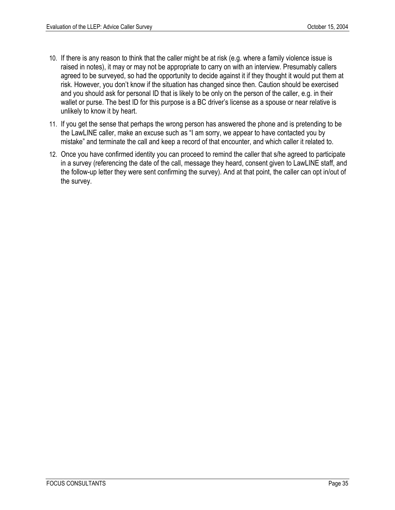- 10. If there is any reason to think that the caller might be at risk (e.g. where a family violence issue is raised in notes), it may or may not be appropriate to carry on with an interview. Presumably callers agreed to be surveyed, so had the opportunity to decide against it if they thought it would put them at risk. However, you don't know if the situation has changed since then. Caution should be exercised and you should ask for personal ID that is likely to be only on the person of the caller, e.g. in their wallet or purse. The best ID for this purpose is a BC driver's license as a spouse or near relative is unlikely to know it by heart.
- 11. If you get the sense that perhaps the wrong person has answered the phone and is pretending to be the LawLINE caller, make an excuse such as "I am sorry, we appear to have contacted you by mistake" and terminate the call and keep a record of that encounter, and which caller it related to.
- 12. Once you have confirmed identity you can proceed to remind the caller that s/he agreed to participate in a survey (referencing the date of the call, message they heard, consent given to LawLINE staff, and the follow-up letter they were sent confirming the survey). And at that point, the caller can opt in/out of the survey.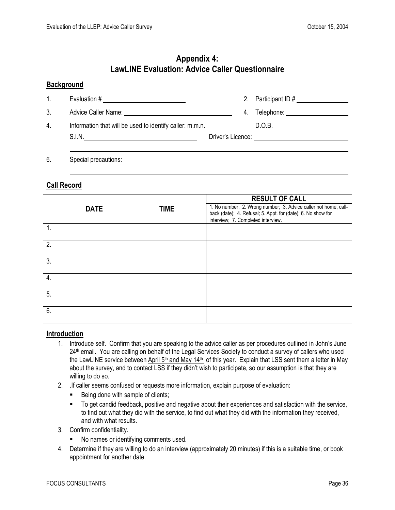l

## <span id="page-43-0"></span>**Appendix 4: LawLINE Evaluation: Advice Caller Questionnaire**

#### **Background**

| 1. | Evaluation # $\sqrt{2}$                                  | 2. Participant ID #                 |
|----|----------------------------------------------------------|-------------------------------------|
| 3. |                                                          | 4. Telephone: _____________________ |
| 4. | Information that will be used to identify caller: m.m.n. | D.O.B.                              |
|    | S.I.N.                                                   |                                     |
|    |                                                          |                                     |
| 6. | Special precautions:                                     |                                     |

## **Call Record**

|    |             |             | <b>RESULT OF CALL</b>                                                                                                           |
|----|-------------|-------------|---------------------------------------------------------------------------------------------------------------------------------|
|    | <b>DATE</b> | <b>TIME</b> | 1. No number; 2. Wrong number; 3. Advice caller not home, call-<br>back (date); 4. Refusal; 5. Appt. for (date); 6. No show for |
|    |             |             | interview; 7. Completed interview.                                                                                              |
| 1. |             |             |                                                                                                                                 |
| 2. |             |             |                                                                                                                                 |
| 3. |             |             |                                                                                                                                 |
| 4. |             |             |                                                                                                                                 |
| 5. |             |             |                                                                                                                                 |
| 6. |             |             |                                                                                                                                 |

#### **Introduction**

- 1. Introduce self. Confirm that you are speaking to the advice caller as per procedures outlined in Johnís June 24<sup>th</sup> email. You are calling on behalf of the Legal Services Society to conduct a survey of callers who used the LawLINE service between April 5<sup>th</sup> and May 14<sup>th</sup> of this year. Explain that LSS sent them a letter in May about the survey, and to contact LSS if they didn't wish to participate, so our assumption is that they are willing to do so.
- 2. .If caller seems confused or requests more information, explain purpose of evaluation:
	- **EXEC** Being done with sample of clients;
	- ! To get candid feedback, positive and negative about their experiences and satisfaction with the service, to find out what they did with the service, to find out what they did with the information they received, and with what results.
- 3. Confirm confidentiality.
	- ! No names or identifying comments used.
- 4. Determine if they are willing to do an interview (approximately 20 minutes) if this is a suitable time, or book appointment for another date.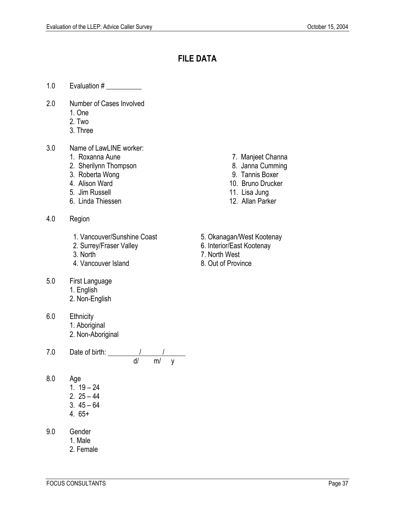## **FILE DATA**

- 1.0 Evaluation #
- 2.0 Number of Cases Involved
	- 1. One
	- 2. Two
	- 3. Three
- 3.0 Name of LawLINE worker:
	- 1. Roxanna Aune 7. Manjeet Channa
	- 2. Sherilynn Thompson 8. Janna Cumming
	- 3. Roberta Wong 19. Tannis Boxer<br>
	4. Alison Ward 10. Bruno Drucke
	-
	- 5. Jim Russell 11. Lisa Jung
	- 6. Linda Thiessen 12. Allan Parker
- 4.0 Region
	- 1. Vancouver/Sunshine Coast 5. Okanagan/West Kootenay<br>2. Surrey/Fraser Valley 6. Interior/East Kootenay
	- 2. Surrey/Fraser Valley
	-
	- 4. Vancouver Island 8. Out of Province
- 5.0 First Language 1. English
	- 2. Non-English
- 6.0 Ethnicity 1. Aboriginal 2. Non-Aboriginal
- 7.0 Date of birth: / / d/ m/ y
- 8.0 Age
	- 1.  $19 24$
	- 2.  $25 44$
	- $3.45 64$
	- 4. 65+
- 9.0 Gender
	- 1. Male
		- 2. Female
- 
- 
- 
- 10. Bruno Drucker
- 
- 
- 
- 
- 3. North 7. North West
	-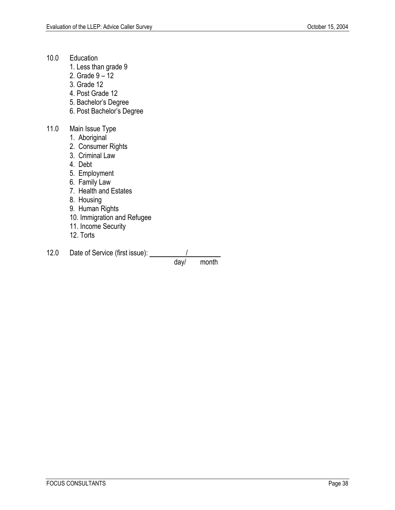- 10.0 Education
	- 1. Less than grade 9
	- 2. Grade  $9 12$
	- 3. Grade 12
	- 4. Post Grade 12
	- 5. Bachelor's Degree
	- 6. Post Bachelor's Degree

## 11.0 Main Issue Type

- 1. Aboriginal
- 2. Consumer Rights
- 3. Criminal Law
- 4. Debt
- 5. Employment
- 6. Family Law
- 7. Health and Estates
- 8. Housing
- 9. Human Rights
- 10. Immigration and Refugee
- 11. Income Security
- 12. Torts
- 12.0 Date of Service (first issue):  $\frac{1}{\text{day}}$

month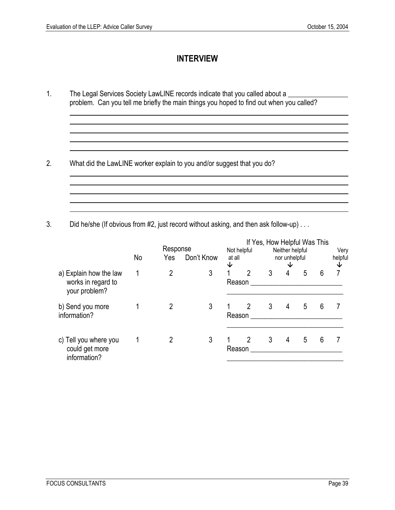$\overline{\phantom{a}}$ 

 $\overline{\phantom{a}}$ 

l

l

l

l l

## **INTERVIEW**

the control of the control of the control of the control of the control of the control of the control of the control of the control of the control of the control of the control of the control of the control of the control

1. The Legal Services Society LawLINE records indicate that you called about a \_\_\_\_\_\_\_ problem. Can you tell me briefly the main things you hoped to find out when you called?

2. What did the LawLINE worker explain to you and/or suggest that you do?

3. Did he/she (If obvious from #2, just record without asking, and then ask follow-up) . . .

|                                                               | No | Response<br>Yes | Don't Know | at all<br>↓ | Not helpful    | If Yes, How Helpful Was This | Neither helpful<br>nor unhelpful<br>V |   |   | Very<br>helpful<br>V |
|---------------------------------------------------------------|----|-----------------|------------|-------------|----------------|------------------------------|---------------------------------------|---|---|----------------------|
| a) Explain how the law<br>works in regard to<br>your problem? |    | 2               | 3          | Reason      | $\mathfrak{p}$ | 3                            | 4                                     | 5 | 6 | 7                    |
| b) Send you more<br>information?                              |    | 2               | 3          | Reason      | 2              | 3                            | 4                                     | 5 | 6 |                      |
| c) Tell you where you<br>could get more<br>information?       |    | 2               | 3          | Reason      | $\mathfrak{p}$ | 3                            | 4                                     | 5 | 6 |                      |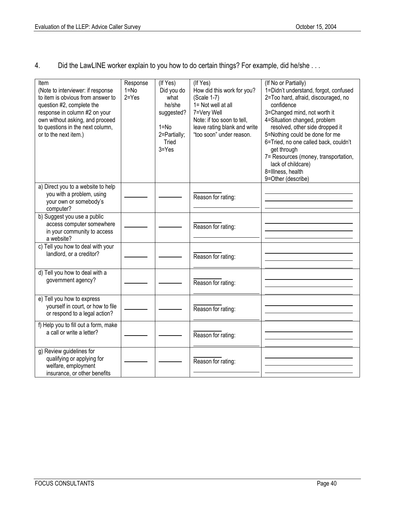4. Did the LawLINE worker explain to you how to do certain things? For example, did he/she . . .

| Item<br>(Note to interviewer: if response<br>to item is obvious from answer to<br>question #2, complete the<br>response in column #2 on your<br>own without asking, and proceed<br>to questions in the next column,<br>or to the next item.) | Response<br>$1 = No$<br>$2 = Yes$ | (If Yes)<br>Did you do<br>what<br>he/she<br>suggested?<br>$1 = No$<br>2=Partially;<br><b>Tried</b><br>$3 = Yes$ | (If Yes)<br>How did this work for you?<br>(Scale 1-7)<br>1= Not well at all<br>7=Very Well<br>Note: if too soon to tell,<br>leave rating blank and write<br>"too soon" under reason. | (If No or Partially)<br>1=Didn't understand, forgot, confused<br>2=Too hard, afraid, discouraged, no<br>confidence<br>3=Changed mind, not worth it<br>4=Situation changed, problem<br>resolved, other side dropped it<br>5=Nothing could be done for me<br>6=Tried, no one called back, couldn't<br>get through<br>7= Resources (money, transportation,<br>lack of childcare)<br>8=Illness, health<br>9=Other (describe) |
|----------------------------------------------------------------------------------------------------------------------------------------------------------------------------------------------------------------------------------------------|-----------------------------------|-----------------------------------------------------------------------------------------------------------------|--------------------------------------------------------------------------------------------------------------------------------------------------------------------------------------|--------------------------------------------------------------------------------------------------------------------------------------------------------------------------------------------------------------------------------------------------------------------------------------------------------------------------------------------------------------------------------------------------------------------------|
| a) Direct you to a website to help                                                                                                                                                                                                           |                                   |                                                                                                                 |                                                                                                                                                                                      |                                                                                                                                                                                                                                                                                                                                                                                                                          |
| you with a problem, using<br>your own or somebody's<br>computer?                                                                                                                                                                             |                                   |                                                                                                                 | Reason for rating:                                                                                                                                                                   |                                                                                                                                                                                                                                                                                                                                                                                                                          |
| b) Suggest you use a public<br>access computer somewhere<br>in your community to access<br>a website?                                                                                                                                        |                                   |                                                                                                                 | Reason for rating:                                                                                                                                                                   |                                                                                                                                                                                                                                                                                                                                                                                                                          |
| c) Tell you how to deal with your<br>landlord, or a creditor?                                                                                                                                                                                |                                   |                                                                                                                 | Reason for rating:                                                                                                                                                                   |                                                                                                                                                                                                                                                                                                                                                                                                                          |
| d) Tell you how to deal with a<br>government agency?                                                                                                                                                                                         |                                   |                                                                                                                 | Reason for rating:                                                                                                                                                                   |                                                                                                                                                                                                                                                                                                                                                                                                                          |
| e) Tell you how to express<br>yourself in court, or how to file<br>or respond to a legal action?                                                                                                                                             |                                   |                                                                                                                 | Reason for rating:                                                                                                                                                                   |                                                                                                                                                                                                                                                                                                                                                                                                                          |
| f) Help you to fill out a form, make<br>a call or write a letter?                                                                                                                                                                            |                                   |                                                                                                                 | Reason for rating:                                                                                                                                                                   |                                                                                                                                                                                                                                                                                                                                                                                                                          |
| g) Review guidelines for<br>qualifying or applying for<br>welfare, employment<br>insurance, or other benefits                                                                                                                                |                                   |                                                                                                                 | Reason for rating:                                                                                                                                                                   |                                                                                                                                                                                                                                                                                                                                                                                                                          |
|                                                                                                                                                                                                                                              |                                   |                                                                                                                 |                                                                                                                                                                                      |                                                                                                                                                                                                                                                                                                                                                                                                                          |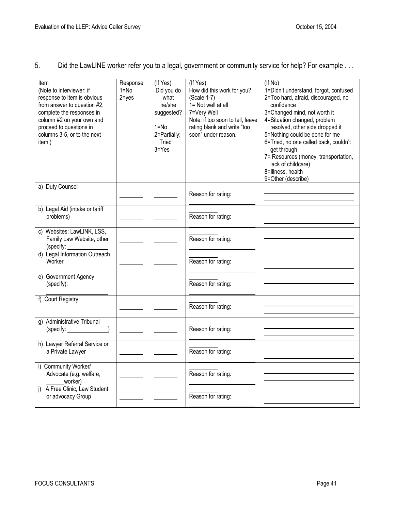## 5. Did the LawLINE worker refer you to a legal, government or community service for help? For example . . .

| Item<br>(Note to interviewer: if<br>response to item is obvious<br>from answer to question #2,<br>complete the responses in<br>column #2 on your own and<br>proceed to questions in<br>columns 3-5, or to the next<br>item.) | Response<br>$1 = No$<br>$2 = yes$ | (If Yes)<br>Did you do<br>what<br>he/she<br>suggested?<br>$1 = No$<br>2=Partially;<br>Tried<br>$3 = Yes$ | (If Yes)<br>How did this work for you?<br>(Scale 1-7)<br>$1 =$ Not well at all<br>7=Very Well<br>Note: if too soon to tell, leave<br>rating blank and write "too<br>soon" under reason. | $($ If No $)$<br>1=Didn't understand, forgot, confused<br>2=Too hard, afraid, discouraged, no<br>confidence<br>3=Changed mind, not worth it<br>4=Situation changed, problem<br>resolved, other side dropped it<br>5=Nothing could be done for me<br>6=Tried, no one called back, couldn't<br>get through<br>7= Resources (money, transportation,<br>lack of childcare)<br>8=Illness, health<br>9=Other (describe) |
|------------------------------------------------------------------------------------------------------------------------------------------------------------------------------------------------------------------------------|-----------------------------------|----------------------------------------------------------------------------------------------------------|-----------------------------------------------------------------------------------------------------------------------------------------------------------------------------------------|-------------------------------------------------------------------------------------------------------------------------------------------------------------------------------------------------------------------------------------------------------------------------------------------------------------------------------------------------------------------------------------------------------------------|
| a) Duty Counsel                                                                                                                                                                                                              |                                   |                                                                                                          | Reason for rating:                                                                                                                                                                      |                                                                                                                                                                                                                                                                                                                                                                                                                   |
| b) Legal Aid (intake or tariff<br>problems)                                                                                                                                                                                  |                                   |                                                                                                          | Reason for rating:                                                                                                                                                                      |                                                                                                                                                                                                                                                                                                                                                                                                                   |
| c) Websites: LawLINK, LSS,<br>Family Law Website, other<br>(specify:                                                                                                                                                         |                                   |                                                                                                          | Reason for rating:                                                                                                                                                                      |                                                                                                                                                                                                                                                                                                                                                                                                                   |
| d) Legal Information Outreach<br>Worker                                                                                                                                                                                      |                                   |                                                                                                          | Reason for rating:                                                                                                                                                                      |                                                                                                                                                                                                                                                                                                                                                                                                                   |
| e) Government Agency<br>(specify):                                                                                                                                                                                           |                                   |                                                                                                          | Reason for rating:                                                                                                                                                                      |                                                                                                                                                                                                                                                                                                                                                                                                                   |
| f) Court Registry                                                                                                                                                                                                            |                                   |                                                                                                          | Reason for rating:                                                                                                                                                                      |                                                                                                                                                                                                                                                                                                                                                                                                                   |
| g) Administrative Tribunal<br>(specify:                                                                                                                                                                                      |                                   |                                                                                                          | Reason for rating:                                                                                                                                                                      |                                                                                                                                                                                                                                                                                                                                                                                                                   |
| h) Lawyer Referral Service or<br>a Private Lawyer                                                                                                                                                                            |                                   |                                                                                                          | Reason for rating:                                                                                                                                                                      |                                                                                                                                                                                                                                                                                                                                                                                                                   |
| i) Community Worker/<br>Advocate (e.g. welfare,<br>worker)                                                                                                                                                                   |                                   |                                                                                                          | Reason for rating:                                                                                                                                                                      |                                                                                                                                                                                                                                                                                                                                                                                                                   |
| i) A Free Clinic, Law Student<br>or advocacy Group                                                                                                                                                                           |                                   |                                                                                                          | Reason for rating:                                                                                                                                                                      |                                                                                                                                                                                                                                                                                                                                                                                                                   |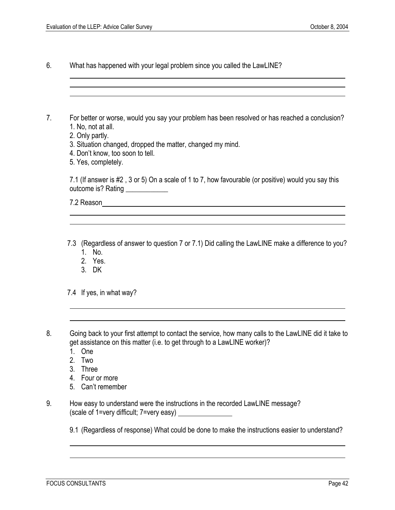6. What has happened with your legal problem since you called the LawLINE?

| For better or worse, would you say your problem has been resolved or has reached a conclusion?                                                                                                                       |
|----------------------------------------------------------------------------------------------------------------------------------------------------------------------------------------------------------------------|
| 1. No, not at all.                                                                                                                                                                                                   |
| 2. Only partly.                                                                                                                                                                                                      |
| 3. Situation changed, dropped the matter, changed my mind.<br>4. Don't know, too soon to tell.                                                                                                                       |
| 5. Yes, completely.                                                                                                                                                                                                  |
| 7.1 (If answer is #2, 3 or 5) On a scale of 1 to 7, how favourable (or positive) would you say this<br>outcome is? Rating _____________                                                                              |
|                                                                                                                                                                                                                      |
|                                                                                                                                                                                                                      |
|                                                                                                                                                                                                                      |
|                                                                                                                                                                                                                      |
| 1. No.<br>2. Yes.                                                                                                                                                                                                    |
| 3. DK                                                                                                                                                                                                                |
| 7.4 If yes, in what way?                                                                                                                                                                                             |
|                                                                                                                                                                                                                      |
|                                                                                                                                                                                                                      |
|                                                                                                                                                                                                                      |
| get assistance on this matter (i.e. to get through to a LawLINE worker)?                                                                                                                                             |
| 7.3 (Regardless of answer to question 7 or 7.1) Did calling the LawLINE make a difference to you?<br>Going back to your first attempt to contact the service, how many calls to the LawLINE did it take to<br>1. One |
| 2. Two                                                                                                                                                                                                               |
| 3. Three<br>4. Four or more                                                                                                                                                                                          |

- 5. Canít remember
- 9. How easy to understand were the instructions in the recorded LawLINE message? (scale of 1=very difficult; 7=very easy)

9.1 (Regardless of response) What could be done to make the instructions easier to understand?

l

l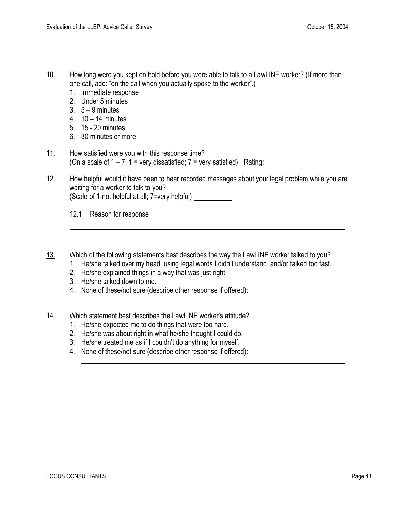$\overline{\phantom{a}}$ 

- 10. How long were you kept on hold before you were able to talk to a LawLINE worker? (If more than one call, add: "on the call when you actually spoke to the worker".)
	- 1. Immediate response
	- 2. Under 5 minutes
	- $3. 5 9$  minutes
	- 4.  $10 14$  minutes
	- 5. 15 20 minutes
	- 6. 30 minutes or more
- 11. How satisfied were you with this response time? (On a scale of  $1 - 7$ ;  $1 =$  very dissatisfied;  $7 =$  very satisfied) Rating:
- 12. How helpful would it have been to hear recorded messages about your legal problem while you are waiting for a worker to talk to you? (Scale of 1-not helpful at all; 7=very helpful)
	- 12.1 Reason for response

 $\overline{\phantom{a}}$ 

 $\overline{\phantom{a}}$ 

l

- 13. Which of the following statements best describes the way the LawLINE worker talked to you?
	- 1. He/she talked over my head, using legal words I didnít understand, and/or talked too fast.
		- 2. He/she explained things in a way that was just right.
		- 3. He/she talked down to me.
	- 4. None of these/not sure (describe other response if offered):
- 14. Which statement best describes the LawLINE worker's attitude?
	- 1. He/she expected me to do things that were too hard.
	- 2. He/she was about right in what he/she thought I could do.
	- 3. He/she treated me as if I couldn't do anything for myself.
	- 4. None of these/not sure (describe other response if offered):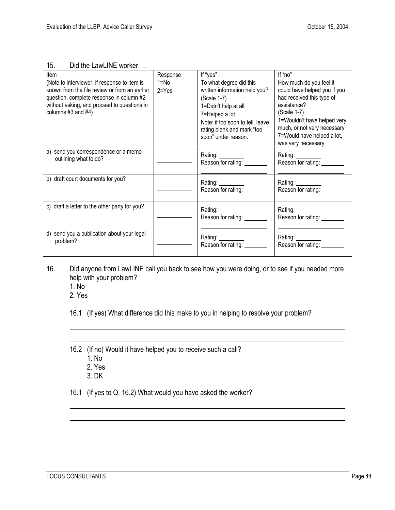| Item                                                                                                                                                                                                           | Response          | If "yes"                                                                                                                                                                                                     | If "no"                                                                                                                                                                                                                              |
|----------------------------------------------------------------------------------------------------------------------------------------------------------------------------------------------------------------|-------------------|--------------------------------------------------------------------------------------------------------------------------------------------------------------------------------------------------------------|--------------------------------------------------------------------------------------------------------------------------------------------------------------------------------------------------------------------------------------|
| (Note to interviewer: if response to item is<br>known from the file review or from an earlier<br>question, complete response in column #2<br>without asking, and proceed to questions in<br>columns #3 and #4) | 1=No<br>$2 = Yes$ | To what degree did this<br>written information help you?<br>$(Scale 1-7)$<br>1=Didn't help at all<br>7=Helped a lot<br>Note: if too soon to tell, leave<br>rating blank and mark "too<br>soon" under reason. | How much do you feel it<br>could have helped you if you<br>had received this type of<br>assistance?<br>(Scale 1-7)<br>1=Wouldn't have helped very<br>much, or not very necessary<br>7=Would have helped a lot,<br>was very necessary |
| a) send you correspondence or a memo<br>outlining what to do?                                                                                                                                                  |                   | Rating: ________<br>Reason for rating:                                                                                                                                                                       | Rating: _________<br>Reason for rating:                                                                                                                                                                                              |
| b) draft court documents for you?                                                                                                                                                                              |                   | Rating: ________<br>Reason for rating:                                                                                                                                                                       | Rating: <u>University</u><br>Reason for rating:                                                                                                                                                                                      |
| c) draft a letter to the other party for you?                                                                                                                                                                  |                   | Rating: _________<br>Reason for rating:                                                                                                                                                                      | Rating:<br>Reason for rating:                                                                                                                                                                                                        |
| d) send you a publication about your legal<br>problem?                                                                                                                                                         |                   | Rating: ________<br>Reason for rating:                                                                                                                                                                       | Rating: _________<br>Reason for rating:                                                                                                                                                                                              |

#### 15. Did the LawLINE worker ...

16. Did anyone from LawLINE call you back to see how you were doing, or to see if you needed more help with your problem?

1. No

 $\overline{\phantom{a}}$ 

 $\overline{\phantom{a}}$ 

2. Yes

16.1 (If yes) What difference did this make to you in helping to resolve your problem?

16.2 (If no) Would it have helped you to receive such a call?

- 1. No
- 2. Yes
- 3. DK

16.1 (If yes to Q. 16.2) What would you have asked the worker?

 $\overline{\phantom{a}}$ 

 $\overline{\phantom{a}}$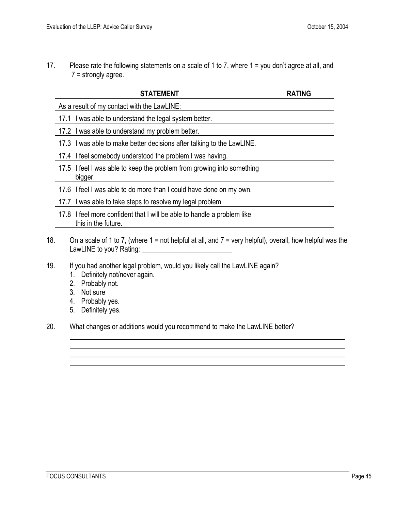17. Please rate the following statements on a scale of 1 to 7, where 1 = you donít agree at all, and 7 = strongly agree.

| <b>STATEMENT</b>                                                                               | <b>RATING</b> |
|------------------------------------------------------------------------------------------------|---------------|
| As a result of my contact with the LawLINE:                                                    |               |
| 17.1 I was able to understand the legal system better.                                         |               |
| 17.2 I was able to understand my problem better.                                               |               |
| 17.3 I was able to make better decisions after talking to the LawLINE.                         |               |
| 17.4 I feel somebody understood the problem I was having.                                      |               |
| 17.5 I feel I was able to keep the problem from growing into something<br>bigger.              |               |
| 17.6 I feel I was able to do more than I could have done on my own.                            |               |
| 17.7 I was able to take steps to resolve my legal problem                                      |               |
| 17.8 I feel more confident that I will be able to handle a problem like<br>this in the future. |               |

- 18. On a scale of 1 to 7, (where 1 = not helpful at all, and 7 = very helpful), overall, how helpful was the LawLINE to you? Rating:
- 19. If you had another legal problem, would you likely call the LawLINE again?
	- 1. Definitely not/never again.
	- 2. Probably not.
	- 3. Not sure

l,  $\overline{\phantom{a}}$ 

- 4. Probably yes.
- 5. Definitely yes.

20. What changes or additions would you recommend to make the LawLINE better?

l l